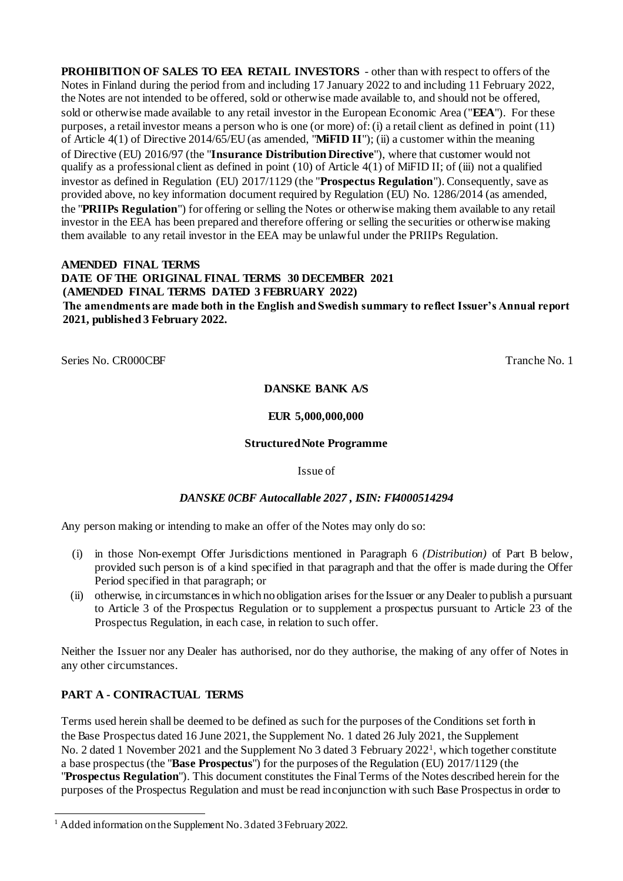**PROHIBITION OF SALES TO EEA RETAIL INVESTORS** - other than with respect to offers of the Notes in Finland during the period from and including 17 January 2022 to and including 11 February 2022, the Notes are not intended to be offered, sold or otherwise made available to, and should not be offered, sold or otherwise made available to any retail investor in the European Economic Area ("**EEA**"). For these purposes, a retail investor means a person who is one (or more) of:(i) a retail client as defined in point (11) of Article 4(1) of Directive 2014/65/EU(as amended, "**MiFID II**"); (ii) a customer within the meaning of Directive (EU) 2016/97 (the "**Insurance Distribution Directive**"), where that customer would not qualify as a professional client as defined in point  $(10)$  of Article  $4(1)$  of MiFID II; of (iii) not a qualified investor as defined in Regulation (EU) 2017/1129 (the "**Prospectus Regulation**"). Consequently, save as provided above, no key information document required by Regulation (EU) No. 1286/2014 (as amended, the "**PRIIPs Regulation**") for offering or selling the Notes or otherwise making them available to any retail investor in the EEA has been prepared and therefore offering or selling the securities or otherwise making them available to any retail investor in the EEA may be unlawful under the PRIIPs Regulation.

### **AMENDED FINAL TERMS DATE OF THE ORIGINAL FINAL TERMS 30 DECEMBER 2021 (AMENDED FINAL TERMS DATED 3 FEBRUARY 2022) The amendments are made both in the English and Swedish summary to reflect Issuer's Annual report 2021, published 3 February 2022.**

Series No. CR000CBF Tranche No. 1

#### **DANSKE BANK A/S**

#### **EUR 5,000,000,000**

#### **StructuredNote Programme**

#### Issue of

#### *DANSKE 0CBF Autocallable 2027 , ISIN: FI4000514294*

Any person making or intending to make an offer of the Notes may only do so:

- (i) in those Non-exempt Offer Jurisdictions mentioned in Paragraph 6 *(Distribution)* of Part B below, provided such person is of a kind specified in that paragraph and that the offer is made during the Offer Period specified in that paragraph; or
- (ii) otherwise, in circumstancesin which no obligation arises for the Issuer or any Dealer to publish a pursuant to Article 3 of the Prospectus Regulation or to supplement a prospectus pursuant to Article 23 of the Prospectus Regulation, in each case, in relation to such offer.

Neither the Issuer nor any Dealer has authorised, nor do they authorise, the making of any offer of Notes in any other circumstances.

## **PART A - CONTRACTUAL TERMS**

Terms used herein shall be deemed to be defined as such for the purposes of the Conditions set forth in the Base Prospectus dated 16 June 2021, the Supplement No. 1 dated 26 July 2021, the Supplement No. 2 dated 1 November 2021 and the Supplement No 3 dated 3 February 2022<sup>1</sup>, which together constitute a base prospectus (the "**Base Prospectus**") for the purposes of the Regulation (EU) 2017/1129 (the "**Prospectus Regulation**"). This document constitutes the FinalTerms of the Notes described herein for the purposes of the Prospectus Regulation and must be read inconjunction with such Base Prospectus in order to

<sup>-</sup><sup>1</sup> Added information on the Supplement No. 3 dated 3 February 2022.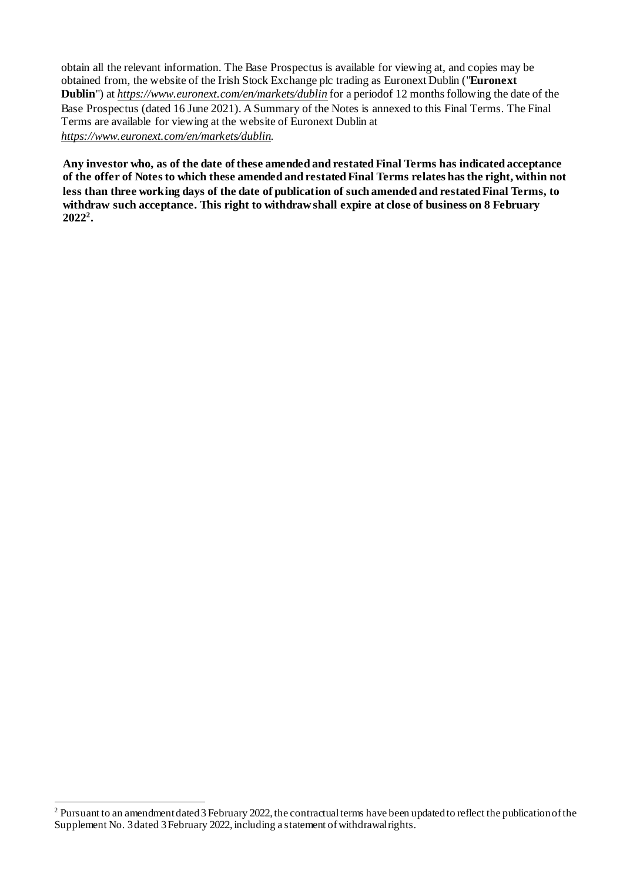obtain all the relevant information. The Base Prospectus is available for viewing at, and copies may be obtained from, the website of the Irish Stock Exchange plc trading as Euronext Dublin ("**Euronext Dublin**") at *[https://www.euronext.com/en/markets/dublin](http://www.euronext.com/en/markets/dublin)* for a periodof 12 months following the date of the Base Prospectus (dated 16 June 2021). A Summary of the Notes is annexed to this Final Terms. The Final Terms are available for viewing at the website of Euronext Dublin at *[https://www.euronext.com/en/markets/dublin](http://www.euronext.com/en/markets/dublin)*.

**Any investor who, as of the date of these amended and restated Final Terms has indicated acceptance of the offer of Notes to which these amended and restated Final Terms relates has the right, within not less than three working days of the date of publication of such amended and restated Final Terms, to withdraw such acceptance. This right to withdraw shall expire at close of business on 8 February 2022<sup>2</sup> .**

-

<sup>&</sup>lt;sup>2</sup> Pursuant to an amendment dated 3 February 2022, the contractual terms have been updated to reflect the publication of the Supplement No. 3 dated 3 February 2022, including a statement of withdrawal rights.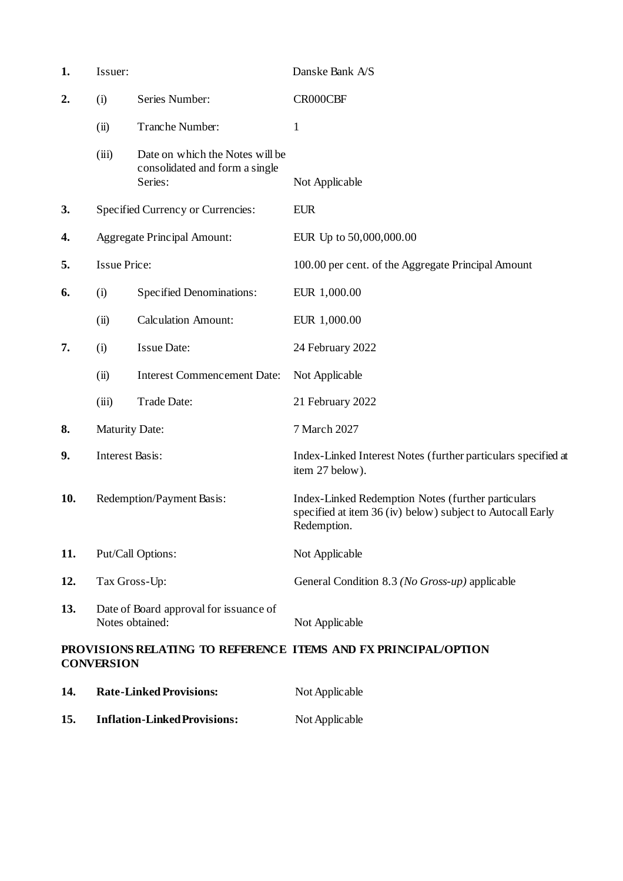| 1.  | Issuer:                |                                                                              | Danske Bank A/S                                                                                                                 |
|-----|------------------------|------------------------------------------------------------------------------|---------------------------------------------------------------------------------------------------------------------------------|
| 2.  | (i)                    | Series Number:                                                               | CR000CBF                                                                                                                        |
|     | (ii)                   | Tranche Number:                                                              | $\mathbf{1}$                                                                                                                    |
|     | (iii)                  | Date on which the Notes will be<br>consolidated and form a single<br>Series: | Not Applicable                                                                                                                  |
| 3.  |                        | Specified Currency or Currencies:                                            | <b>EUR</b>                                                                                                                      |
| 4.  |                        | <b>Aggregate Principal Amount:</b>                                           | EUR Up to 50,000,000.00                                                                                                         |
| 5.  | <b>Issue Price:</b>    |                                                                              | 100.00 per cent. of the Aggregate Principal Amount                                                                              |
| 6.  | (i)                    | <b>Specified Denominations:</b>                                              | EUR 1,000.00                                                                                                                    |
|     | (ii)                   | <b>Calculation Amount:</b>                                                   | EUR 1,000.00                                                                                                                    |
| 7.  | (i)                    | <b>Issue Date:</b>                                                           | 24 February 2022                                                                                                                |
|     | (ii)                   | <b>Interest Commencement Date:</b>                                           | Not Applicable                                                                                                                  |
|     | (iii)                  | Trade Date:                                                                  | 21 February 2022                                                                                                                |
| 8.  | <b>Maturity Date:</b>  |                                                                              | 7 March 2027                                                                                                                    |
| 9.  | <b>Interest Basis:</b> |                                                                              | Index-Linked Interest Notes (further particulars specified at<br>item 27 below).                                                |
| 10. |                        | Redemption/Payment Basis:                                                    | Index-Linked Redemption Notes (further particulars<br>specified at item 36 (iv) below) subject to Autocall Early<br>Redemption. |
| 11. |                        | Put/Call Options:                                                            | Not Applicable                                                                                                                  |
| 12. | Tax Gross-Up:          |                                                                              | General Condition 8.3 (No Gross-up) applicable                                                                                  |
| 13. |                        | Date of Board approval for issuance of<br>Notes obtained:                    | Not Applicable                                                                                                                  |
|     | <b>CONVERSION</b>      |                                                                              | PROVISIONS RELATING TO REFERENCE ITEMS AND FX PRINCIPAL/OPTION                                                                  |
| 14. |                        | <b>Rate-Linked Provisions:</b>                                               | Not Applicable                                                                                                                  |
| 15. |                        | <b>Inflation-Linked Provisions:</b>                                          | Not Applicable                                                                                                                  |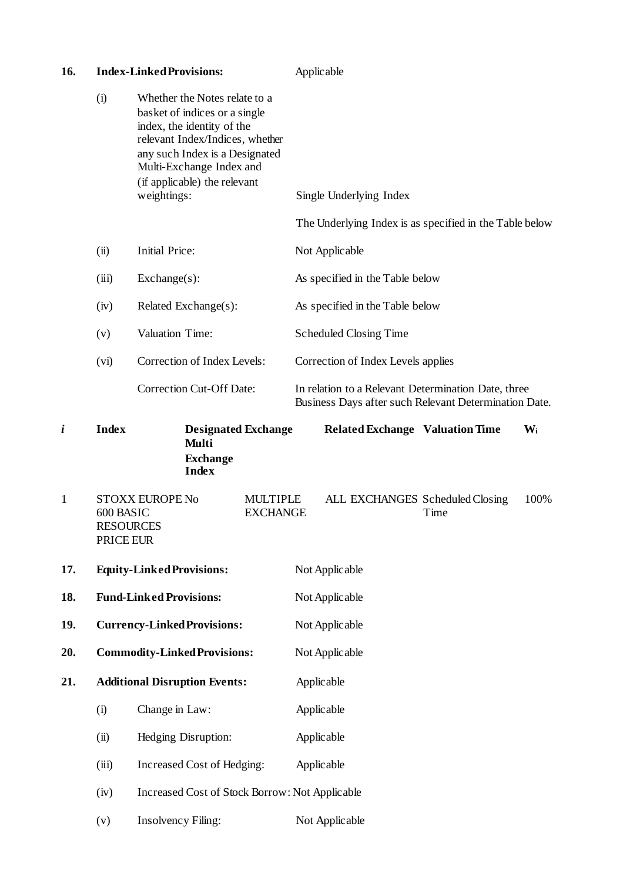| 16. |              | <b>Index-Linked Provisions:</b>                                                                                                                                                                                                              | Applicable                                                                                                   |
|-----|--------------|----------------------------------------------------------------------------------------------------------------------------------------------------------------------------------------------------------------------------------------------|--------------------------------------------------------------------------------------------------------------|
|     | (i)          | Whether the Notes relate to a<br>basket of indices or a single<br>index, the identity of the<br>relevant Index/Indices, whether<br>any such Index is a Designated<br>Multi-Exchange Index and<br>(if applicable) the relevant<br>weightings: | Single Underlying Index<br>The Underlying Index is as specified in the Table below                           |
|     | (ii)         | <b>Initial Price:</b>                                                                                                                                                                                                                        | Not Applicable                                                                                               |
|     | (iii)        | $Exchange(s)$ :                                                                                                                                                                                                                              | As specified in the Table below                                                                              |
|     | (iv)         | Related Exchange(s):                                                                                                                                                                                                                         | As specified in the Table below                                                                              |
|     | (v)          | Valuation Time:                                                                                                                                                                                                                              | <b>Scheduled Closing Time</b>                                                                                |
|     | (vi)         | Correction of Index Levels:                                                                                                                                                                                                                  | Correction of Index Levels applies                                                                           |
|     |              | <b>Correction Cut-Off Date:</b>                                                                                                                                                                                                              | In relation to a Relevant Determination Date, three<br>Business Days after such Relevant Determination Date. |
|     | <b>Index</b> | <b>Designated Exchange</b><br><b>Multi</b><br><b>Exchange</b><br><b>Index</b>                                                                                                                                                                | <b>Related Exchange Valuation Time</b><br>$W_i$                                                              |

- 1 STOXX EUROPE No MULTIPLE ALL EXCHANGES Scheduled Closing 100%<br>600 BASIC EXCHANGE Time 600 BASIC RESOURCES PRICE EUR **EXCHANGE 17. Equity-LinkedProvisions:** Not Applicable **18. Fund-Linked Provisions:** Not Applicable **19. Currency-LinkedProvisions:** Not Applicable
- **20. Commodity-LinkedProvisions:** Not Applicable
- **21. Additional Disruption Events:** Applicable
	- (i) Change in Law: Applicable
	- (ii) Hedging Disruption: Applicable
	- (iii) Increased Cost of Hedging: Applicable
	- (iv) Increased Cost of Stock Borrow: Not Applicable
	- (v) Insolvency Filing: Not Applicable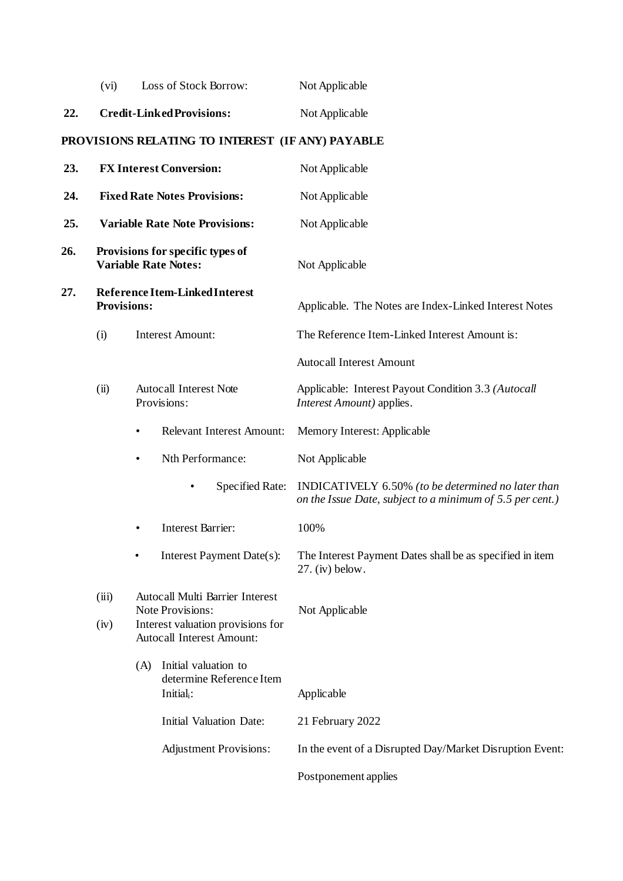| (vi) | Loss of Stock Borrow: | Not Applicable |
|------|-----------------------|----------------|
|      |                       |                |

# **22. Credit-LinkedProvisions:** Not Applicable

# **PROVISIONS RELATING TO INTEREST (IF ANY) PAYABLE**

| 23. |                    | <b>FX Interest Conversion:</b>                                                                                               | Not Applicable                                                                                                  |
|-----|--------------------|------------------------------------------------------------------------------------------------------------------------------|-----------------------------------------------------------------------------------------------------------------|
| 24. |                    | <b>Fixed Rate Notes Provisions:</b>                                                                                          | Not Applicable                                                                                                  |
| 25. |                    | <b>Variable Rate Note Provisions:</b>                                                                                        | Not Applicable                                                                                                  |
| 26. |                    | Provisions for specific types of<br><b>Variable Rate Notes:</b>                                                              | Not Applicable                                                                                                  |
| 27. | <b>Provisions:</b> | Reference Item-Linked Interest                                                                                               | Applicable. The Notes are Index-Linked Interest Notes                                                           |
|     | (i)                | <b>Interest Amount:</b>                                                                                                      | The Reference Item-Linked Interest Amount is:                                                                   |
|     |                    |                                                                                                                              | <b>Autocall Interest Amount</b>                                                                                 |
|     | (ii)               | <b>Autocall Interest Note</b><br>Provisions:                                                                                 | Applicable: Interest Payout Condition 3.3 (Autocall<br>Interest Amount) applies.                                |
|     |                    | <b>Relevant Interest Amount:</b><br>٠                                                                                        | Memory Interest: Applicable                                                                                     |
|     |                    | Nth Performance:<br>$\bullet$                                                                                                | Not Applicable                                                                                                  |
|     |                    | Specified Rate:<br>$\bullet$                                                                                                 | INDICATIVELY 6.50% (to be determined no later than<br>on the Issue Date, subject to a minimum of 5.5 per cent.) |
|     |                    | <b>Interest Barrier:</b><br>$\bullet$                                                                                        | 100%                                                                                                            |
|     |                    | Interest Payment Date(s):<br>$\bullet$                                                                                       | The Interest Payment Dates shall be as specified in item<br>$27.$ (iv) below.                                   |
|     | (iii)<br>(iv)      | Autocall Multi Barrier Interest<br>Note Provisions:<br>Interest valuation provisions for<br><b>Autocall Interest Amount:</b> | Not Applicable                                                                                                  |
|     |                    | Initial valuation to<br>(A)<br>determine Reference Item<br>Initial <sub>i</sub> :                                            | Applicable                                                                                                      |
|     |                    | <b>Initial Valuation Date:</b>                                                                                               | 21 February 2022                                                                                                |
|     |                    | <b>Adjustment Provisions:</b>                                                                                                | In the event of a Disrupted Day/Market Disruption Event:                                                        |
|     |                    |                                                                                                                              | Postponement applies                                                                                            |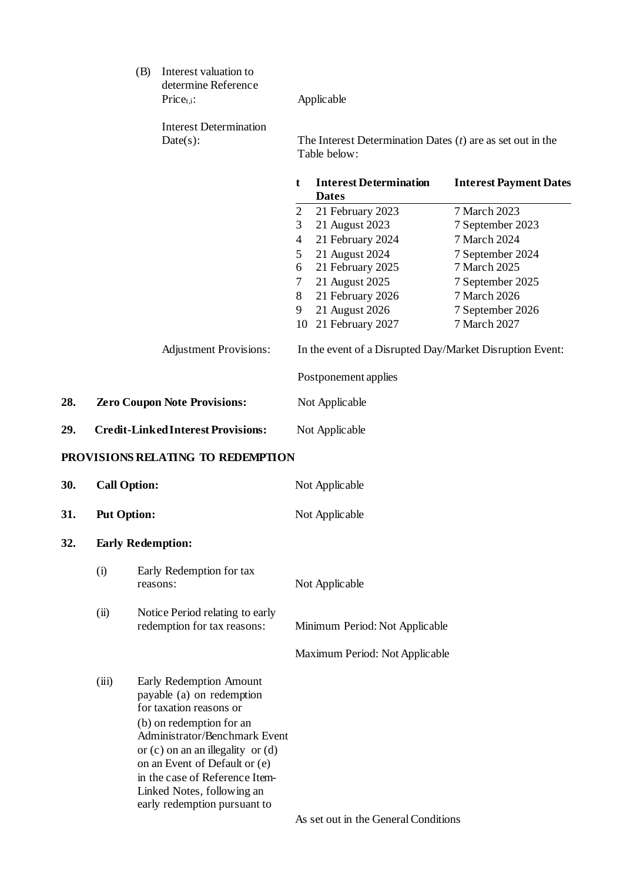|     | (B) | Interest valuation to<br>determine Reference<br>$Price_{t.i}:$ |                | Applicable                                                                   |                               |
|-----|-----|----------------------------------------------------------------|----------------|------------------------------------------------------------------------------|-------------------------------|
|     |     | <b>Interest Determination</b><br>Date(s):                      |                | The Interest Determination Dates $(t)$ are as set out in the<br>Table below: |                               |
|     |     |                                                                | t              | <b>Interest Determination</b><br><b>Dates</b>                                | <b>Interest Payment Dates</b> |
|     |     |                                                                | $\overline{2}$ | 21 February 2023                                                             | 7 March 2023                  |
|     |     |                                                                | 3              | 21 August 2023                                                               | 7 September 2023              |
|     |     |                                                                | 4              | 21 February 2024                                                             | 7 March 2024                  |
|     |     |                                                                | 5              | 21 August 2024                                                               | 7 September 2024              |
|     |     |                                                                | 6              | 21 February 2025                                                             | 7 March 2025                  |
|     |     |                                                                | 7              | 21 August 2025                                                               | 7 September 2025              |
|     |     |                                                                | 8              | 21 February 2026                                                             | 7 March 2026                  |
|     |     |                                                                | 9              | 21 August 2026                                                               | 7 September 2026              |
|     |     |                                                                | 10             | 21 February 2027                                                             | 7 March 2027                  |
|     |     | <b>Adjustment Provisions:</b>                                  |                | In the event of a Disrupted Day/Market Disruption Event:                     |                               |
|     |     |                                                                |                | Postponement applies                                                         |                               |
| 28. |     | <b>Zero Coupon Note Provisions:</b>                            |                | Not Applicable                                                               |                               |
| 29. |     | <b>Credit-Linked Interest Provisions:</b>                      |                | Not Applicable                                                               |                               |
|     |     | PROVISIONS RELATING TO REDEMPTION                              |                |                                                                              |                               |

#### **PROVISIONS RELATING TO REDEMPTION**

| 30. | <b>Call Option:</b><br><b>Put Option:</b><br><b>Early Redemption:</b> |                                                                                                                                                                                                                                                                                                                        | Not Applicable<br>Not Applicable     |  |
|-----|-----------------------------------------------------------------------|------------------------------------------------------------------------------------------------------------------------------------------------------------------------------------------------------------------------------------------------------------------------------------------------------------------------|--------------------------------------|--|
| 31. |                                                                       |                                                                                                                                                                                                                                                                                                                        |                                      |  |
| 32. |                                                                       |                                                                                                                                                                                                                                                                                                                        |                                      |  |
|     | (i)                                                                   | Early Redemption for tax<br>reasons:                                                                                                                                                                                                                                                                                   | Not Applicable                       |  |
|     | (ii)                                                                  | Notice Period relating to early<br>redemption for tax reasons:                                                                                                                                                                                                                                                         | Minimum Period: Not Applicable       |  |
|     |                                                                       |                                                                                                                                                                                                                                                                                                                        | Maximum Period: Not Applicable       |  |
|     | (iii)                                                                 | Early Redemption Amount<br>payable (a) on redemption<br>for taxation reasons or<br>(b) on redemption for an<br>Administrator/Benchmark Event<br>or $(c)$ on an an illegality or $(d)$<br>on an Event of Default or (e)<br>in the case of Reference Item-<br>Linked Notes, following an<br>early redemption pursuant to |                                      |  |
|     |                                                                       |                                                                                                                                                                                                                                                                                                                        | As set out in the General Conditions |  |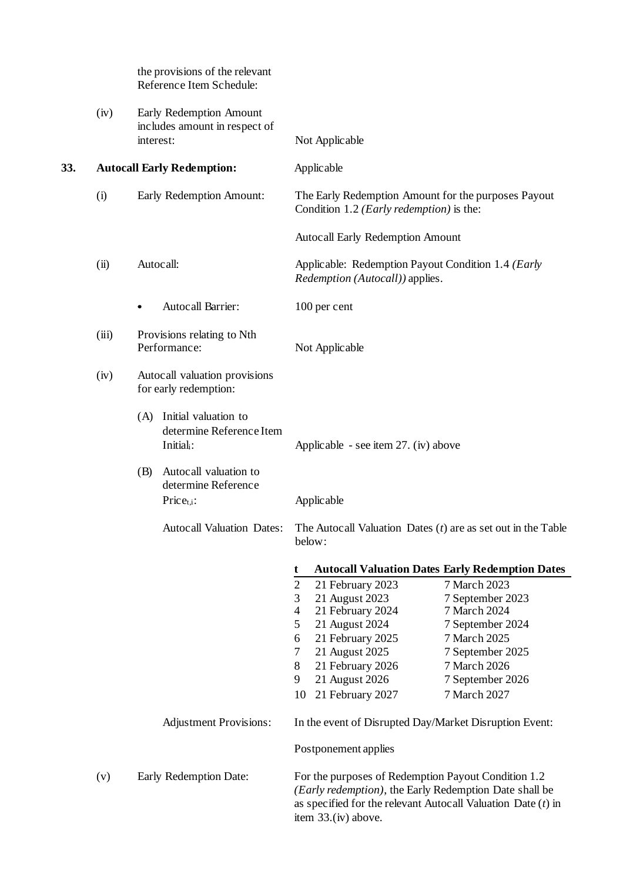|     |       | the provisions of the relevant<br>Reference Item Schedule:                     |                                                                                                                                                                                                                                                                                                                                                                                                                                                                               |
|-----|-------|--------------------------------------------------------------------------------|-------------------------------------------------------------------------------------------------------------------------------------------------------------------------------------------------------------------------------------------------------------------------------------------------------------------------------------------------------------------------------------------------------------------------------------------------------------------------------|
|     | (iv)  | Early Redemption Amount<br>includes amount in respect of<br>interest:          | Not Applicable                                                                                                                                                                                                                                                                                                                                                                                                                                                                |
| 33. |       | <b>Autocall Early Redemption:</b>                                              | Applicable                                                                                                                                                                                                                                                                                                                                                                                                                                                                    |
|     | (i)   | Early Redemption Amount:                                                       | The Early Redemption Amount for the purposes Payout<br>Condition 1.2 ( <i>Early redemption</i> ) is the:                                                                                                                                                                                                                                                                                                                                                                      |
|     |       |                                                                                | <b>Autocall Early Redemption Amount</b>                                                                                                                                                                                                                                                                                                                                                                                                                                       |
|     | (ii)  | Autocall:                                                                      | Applicable: Redemption Payout Condition 1.4 (Early<br>Redemption (Autocall)) applies.                                                                                                                                                                                                                                                                                                                                                                                         |
|     |       | Autocall Barrier:<br>$\bullet$                                                 | 100 per cent                                                                                                                                                                                                                                                                                                                                                                                                                                                                  |
|     | (iii) | Provisions relating to Nth<br>Performance:                                     | Not Applicable                                                                                                                                                                                                                                                                                                                                                                                                                                                                |
|     | (iv)  | Autocall valuation provisions<br>for early redemption:                         |                                                                                                                                                                                                                                                                                                                                                                                                                                                                               |
|     |       | (A) Initial valuation to<br>determine Reference Item<br>Initial <sub>i</sub> : | Applicable - see item $27.$ (iv) above                                                                                                                                                                                                                                                                                                                                                                                                                                        |
|     |       | Autocall valuation to<br>(B)<br>determine Reference<br>$Price_{t,i}:$          | Applicable                                                                                                                                                                                                                                                                                                                                                                                                                                                                    |
|     |       | <b>Autocall Valuation Dates:</b>                                               | The Autocall Valuation Dates $(t)$ are as set out in the Table<br>below:                                                                                                                                                                                                                                                                                                                                                                                                      |
|     |       |                                                                                | <b>Autocall Valuation Dates Early Redemption Dates</b><br>t<br>$\mathbf{2}$<br>21 February 2023<br>7 March 2023<br>3<br>21 August 2023<br>7 September 2023<br>$\overline{4}$<br>21 February 2024<br>7 March 2024<br>5<br>21 August 2024<br>7 September 2024<br>21 February 2025<br>7 March 2025<br>6<br>21 August 2025<br>7<br>7 September 2025<br>7 March 2026<br>8<br>21 February 2026<br>9<br>21 August 2026<br>7 September 2026<br>21 February 2027<br>7 March 2027<br>10 |
|     |       | <b>Adjustment Provisions:</b>                                                  | In the event of Disrupted Day/Market Disruption Event:<br>Postponement applies                                                                                                                                                                                                                                                                                                                                                                                                |
|     | (v)   | Early Redemption Date:                                                         | For the purposes of Redemption Payout Condition 1.2<br>(Early redemption), the Early Redemption Date shall be<br>as specified for the relevant Autocall Valuation Date $(t)$ in<br>item 33.(iv) above.                                                                                                                                                                                                                                                                        |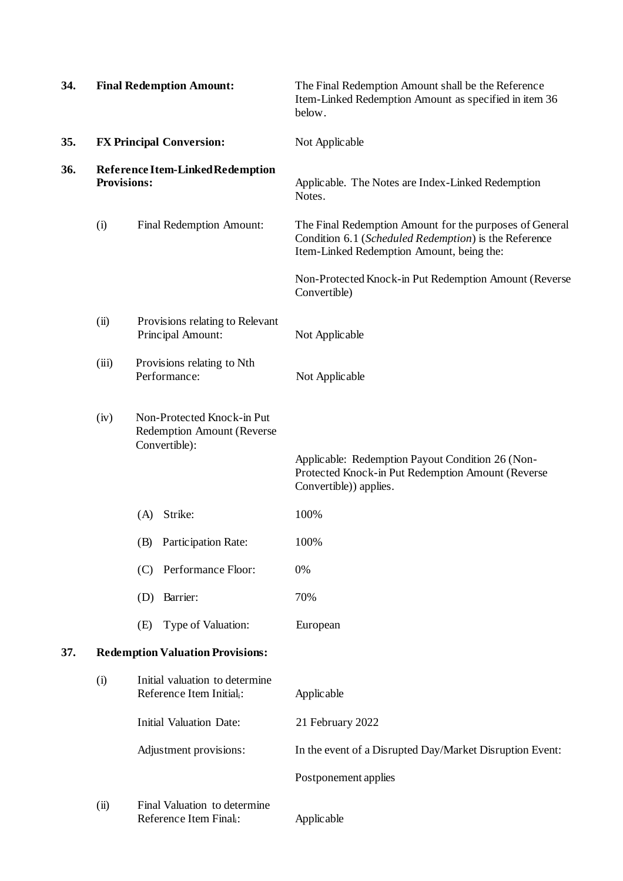| 34. |                                         | <b>Final Redemption Amount:</b>                                           | The Final Redemption Amount shall be the Reference<br>Item-Linked Redemption Amount as specified in item 36<br>below.                                         |  |
|-----|-----------------------------------------|---------------------------------------------------------------------------|---------------------------------------------------------------------------------------------------------------------------------------------------------------|--|
| 35. |                                         | <b>FX Principal Conversion:</b>                                           | Not Applicable                                                                                                                                                |  |
| 36. | <b>Provisions:</b>                      | <b>Reference Item-Linked Redemption</b>                                   | Applicable. The Notes are Index-Linked Redemption<br>Notes.                                                                                                   |  |
|     | (i)                                     | Final Redemption Amount:                                                  | The Final Redemption Amount for the purposes of General<br>Condition 6.1 (Scheduled Redemption) is the Reference<br>Item-Linked Redemption Amount, being the: |  |
|     |                                         |                                                                           | Non-Protected Knock-in Put Redemption Amount (Reverse<br>Convertible)                                                                                         |  |
|     | (ii)                                    | Provisions relating to Relevant<br>Principal Amount:                      | Not Applicable                                                                                                                                                |  |
|     | (iii)                                   | Provisions relating to Nth<br>Performance:                                | Not Applicable                                                                                                                                                |  |
|     | (iv)                                    | Non-Protected Knock-in Put<br>Redemption Amount (Reverse<br>Convertible): | Applicable: Redemption Payout Condition 26 (Non-<br>Protected Knock-in Put Redemption Amount (Reverse<br>Convertible)) applies.                               |  |
|     |                                         | Strike:<br>(A)                                                            | 100%                                                                                                                                                          |  |
|     |                                         | (B)<br>Participation Rate:                                                | 100%                                                                                                                                                          |  |
|     |                                         | Performance Floor:<br>(C)                                                 | 0%                                                                                                                                                            |  |
|     |                                         | Barrier:<br>(D)                                                           | 70%                                                                                                                                                           |  |
|     |                                         | Type of Valuation:<br>(E)                                                 | European                                                                                                                                                      |  |
| 37. | <b>Redemption Valuation Provisions:</b> |                                                                           |                                                                                                                                                               |  |
|     | (i)                                     | Initial valuation to determine<br>Reference Item Initiali:                | Applicable                                                                                                                                                    |  |
|     |                                         | <b>Initial Valuation Date:</b>                                            | 21 February 2022                                                                                                                                              |  |
|     |                                         | Adjustment provisions:                                                    | In the event of a Disrupted Day/Market Disruption Event:                                                                                                      |  |
|     |                                         |                                                                           | Postponement applies                                                                                                                                          |  |
|     | (ii)                                    | Final Valuation to determine<br>Reference Item Final <sub>i</sub> :       | Applicable                                                                                                                                                    |  |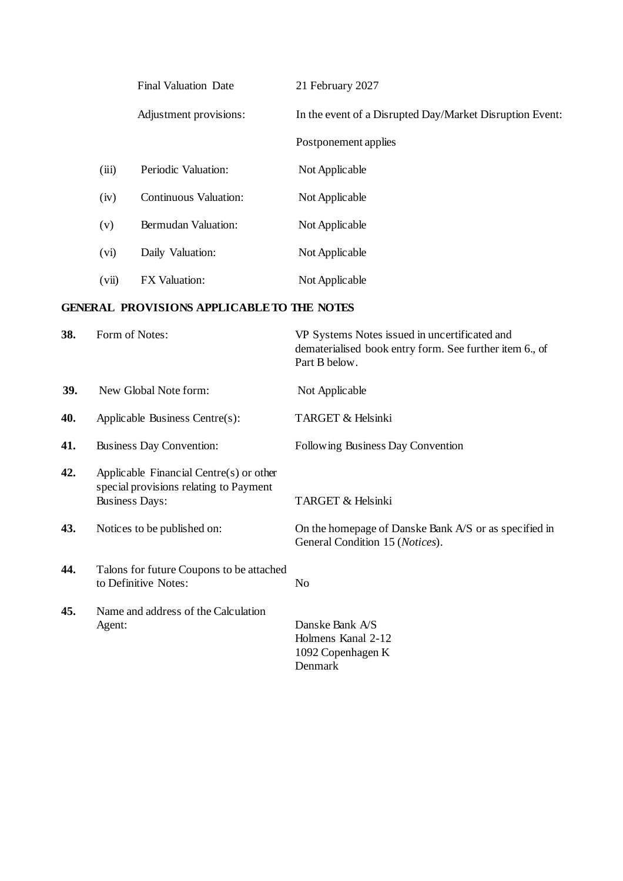|       | <b>Final Valuation Date</b>  | 21 February 2027                                         |
|-------|------------------------------|----------------------------------------------------------|
|       | Adjustment provisions:       | In the event of a Disrupted Day/Market Disruption Event: |
|       |                              | Postponement applies                                     |
| (iii) | Periodic Valuation:          | Not Applicable                                           |
| (iv)  | <b>Continuous Valuation:</b> | Not Applicable                                           |
| (v)   | Bermudan Valuation:          | Not Applicable                                           |
| (vi)  | Daily Valuation:             | Not Applicable                                           |
| (vii) | <b>FX</b> Valuation:         | Not Applicable                                           |

## **GENERAL PROVISIONS APPLICABLETO THE NOTES**

| 38. | Form of Notes:                                                                                             | VP Systems Notes issued in uncertificated and<br>dematerialised book entry form. See further item 6., of<br>Part B below. |
|-----|------------------------------------------------------------------------------------------------------------|---------------------------------------------------------------------------------------------------------------------------|
| 39. | New Global Note form:                                                                                      | Not Applicable                                                                                                            |
| 40. | Applicable Business Centre(s):                                                                             | TARGET & Helsinki                                                                                                         |
| 41. | <b>Business Day Convention:</b>                                                                            | Following Business Day Convention                                                                                         |
| 42. | Applicable Financial Centre(s) or other<br>special provisions relating to Payment<br><b>Business Days:</b> | TARGET & Helsinki                                                                                                         |
| 43. | Notices to be published on:                                                                                | On the homepage of Danske Bank A/S or as specified in<br>General Condition 15 (Notices).                                  |
| 44. | Talons for future Coupons to be attached<br>to Definitive Notes:                                           | No                                                                                                                        |
| 45. | Name and address of the Calculation<br>Agent:                                                              | Danske Bank A/S<br>Holmens Kanal 2-12<br>1092 Copenhagen K<br>Denmark                                                     |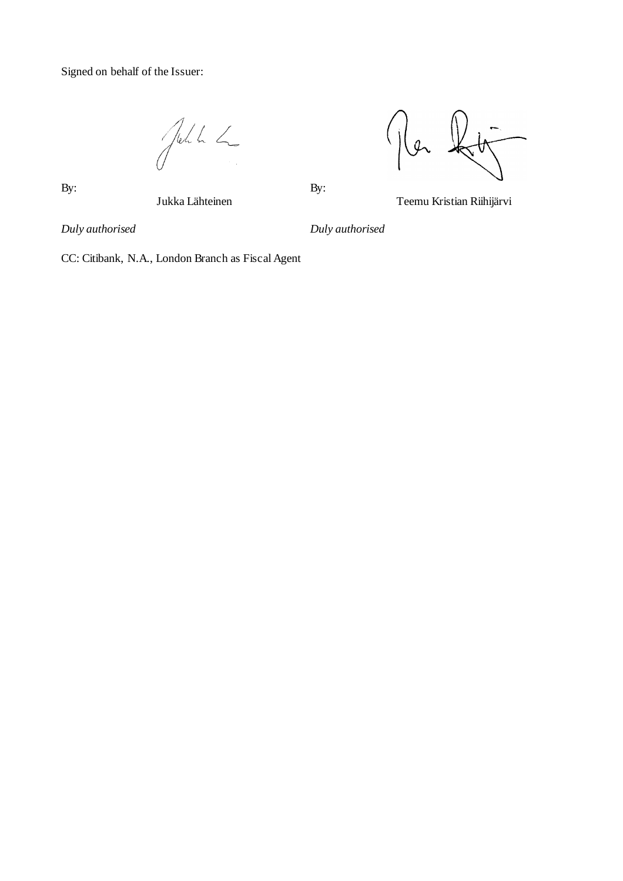Signed on behalf of the Issuer:

John L



 $\mathbf{B}$ y:  $\mathbf{B}$ y:

Jukka Lähteinen Teemu Kristian Riihijärvi

*Duly authorised Duly authorised*

CC: Citibank, N.A., London Branch as Fiscal Agent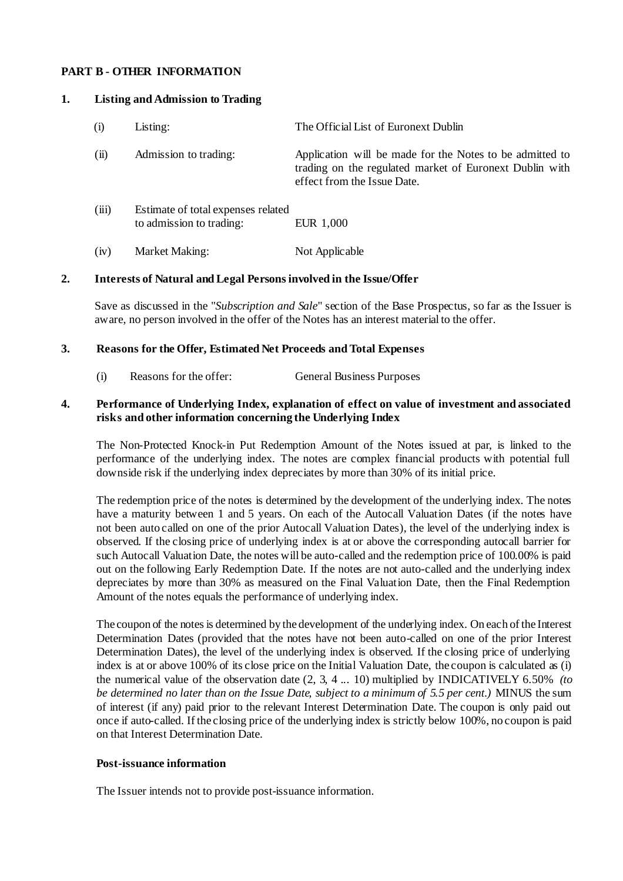#### **PART B - OTHER INFORMATION**

#### **1. Listing and Admission to Trading**

| (i)   | Listing:                                                       | The Official List of Euronext Dublin                                                                                                               |
|-------|----------------------------------------------------------------|----------------------------------------------------------------------------------------------------------------------------------------------------|
| (ii)  | Admission to trading:                                          | Application will be made for the Notes to be admitted to<br>trading on the regulated market of Euronext Dublin with<br>effect from the Issue Date. |
| (iii) | Estimate of total expenses related<br>to admission to trading: | EUR 1,000                                                                                                                                          |
| (iv)  | <b>Market Making:</b>                                          | Not Applicable                                                                                                                                     |

#### **2. Interests of Natural andLegal Personsinvolved in the Issue/Offer**

Save as discussed in the "*Subscription and Sale*" section of the Base Prospectus, so far as the Issuer is aware, no person involved in the offer of the Notes has an interest material to the offer.

#### **3. Reasons for the Offer, Estimated Net Proceeds andTotal Expenses**

(i) Reasons for the offer: General Business Purposes

#### **4. Performance of Underlying Index, explanation of effect on value of investment and associated risks and other information concerning the Underlying Index**

The Non-Protected Knock-in Put Redemption Amount of the Notes issued at par, is linked to the performance of the underlying index. The notes are complex financial products with potential full downside risk if the underlying index depreciates by more than 30% of its initial price.

The redemption price of the notes is determined by the development of the underlying index. The notes have a maturity between 1 and 5 years. On each of the Autocall Valuation Dates (if the notes have not been auto called on one of the prior Autocall Valuation Dates), the level of the underlying index is observed. If the closing price of underlying index is at or above the corresponding autocall barrier for such Autocall Valuation Date, the notes will be auto-called and the redemption price of 100.00% is paid out on the following Early Redemption Date. If the notes are not auto-called and the underlying index depreciates by more than 30% as measured on the Final Valuation Date, then the Final Redemption Amount of the notes equals the performance of underlying index.

The coupon of the notesis determined by the development of the underlying index. On each of the Interest Determination Dates (provided that the notes have not been auto-called on one of the prior Interest Determination Dates), the level of the underlying index is observed. If the closing price of underlying index is at or above 100% of its close price on the Initial Valuation Date, the coupon is calculated as (i) the numerical value of the observation date (2, 3, 4 ... 10) multiplied by INDICATIVELY 6.50% *(to be determined no later than on the Issue Date, subject to a minimum of 5.5 per cent.)* MINUS the sum of interest (if any) paid prior to the relevant Interest Determination Date. The coupon is only paid out once if auto-called. If the closing price of the underlying index is strictly below 100%, no coupon is paid on that Interest Determination Date.

#### **Post-issuance information**

The Issuer intends not to provide post-issuance information.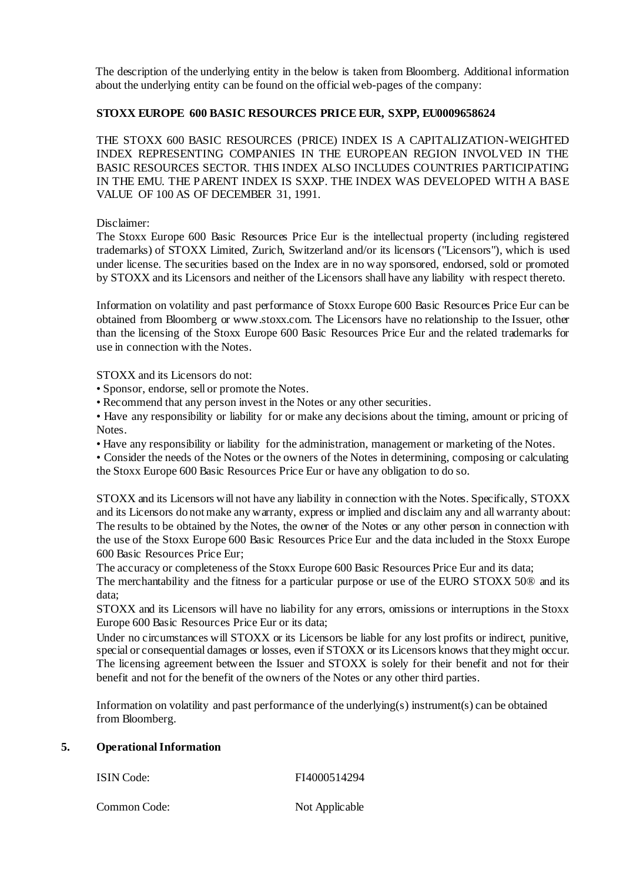The description of the underlying entity in the below is taken from Bloomberg. Additional information about the underlying entity can be found on the official web-pages of the company:

### **STOXX EUROPE 600 BASIC RESOURCES PRICE EUR, SXPP, EU0009658624**

THE STOXX 600 BASIC RESOURCES (PRICE) INDEX IS A CAPITALIZATION-WEIGHTED INDEX REPRESENTING COMPANIES IN THE EUROPEAN REGION INVOLVED IN THE BASIC RESOURCES SECTOR. THIS INDEX ALSO INCLUDES COUNTRIES PARTICIPATING IN THE EMU. THE PARENT INDEX IS SXXP. THE INDEX WAS DEVELOPED WITH A BASE VALUE OF 100 AS OF DECEMBER 31, 1991.

Disclaimer:

The Stoxx Europe 600 Basic Resources Price Eur is the intellectual property (including registered trademarks) of STOXX Limited, Zurich, Switzerland and/or its licensors ("Licensors"), which is used under license. The securities based on the Index are in no way sponsored, endorsed, sold or promoted by STOXX and its Licensors and neither of the Licensors shall have any liability with respect thereto.

Information on volatility and past performance of Stoxx Europe 600 Basic Resources Price Eur can be obtained from Bloomberg or [www.stoxx.com. T](http://www.stoxx.com/)he Licensors have no relationship to the Issuer, other than the licensing of the Stoxx Europe 600 Basic Resources Price Eur and the related trademarks for use in connection with the Notes.

STOXX and its Licensors do not:

- Sponsor, endorse, sell or promote the Notes.
- Recommend that any person invest in the Notes or any other securities.

• Have any responsibility or liability for or make any decisions about the timing, amount or pricing of Notes.

• Have any responsibility or liability for the administration, management or marketing of the Notes.

• Consider the needs of the Notes or the owners of the Notes in determining, composing or calculating the Stoxx Europe 600 Basic Resources Price Eur or have any obligation to do so.

STOXX and its Licensors will not have any liability in connection with the Notes. Specifically, STOXX and its Licensors do notmake any warranty, express or implied and disclaim any and all warranty about: The results to be obtained by the Notes, the owner of the Notes or any other person in connection with the use of the Stoxx Europe 600 Basic Resources Price Eur and the data included in the Stoxx Europe 600 Basic Resources Price Eur;

The accuracy or completeness of the Stoxx Europe 600 Basic Resources Price Eur and its data; The merchantability and the fitness for a particular purpose or use of the EURO STOXX 50® and its data;

STOXX and its Licensors will have no liability for any errors, omissions or interruptions in the Stoxx Europe 600 Basic Resources Price Eur or its data;

Under no circumstances will STOXX or its Licensors be liable for any lost profits or indirect, punitive, special or consequential damages or losses, even if STOXX or its Licensors knows that theymight occur. The licensing agreement between the Issuer and STOXX is solely for their benefit and not for their benefit and not for the benefit of the owners of the Notes or any other third parties.

Information on volatility and past performance of the underlying(s) instrument(s) can be obtained from Bloomberg.

## **5. OperationalInformation**

| ISIN Code:   | FI4000514294   |
|--------------|----------------|
| Common Code: | Not Applicable |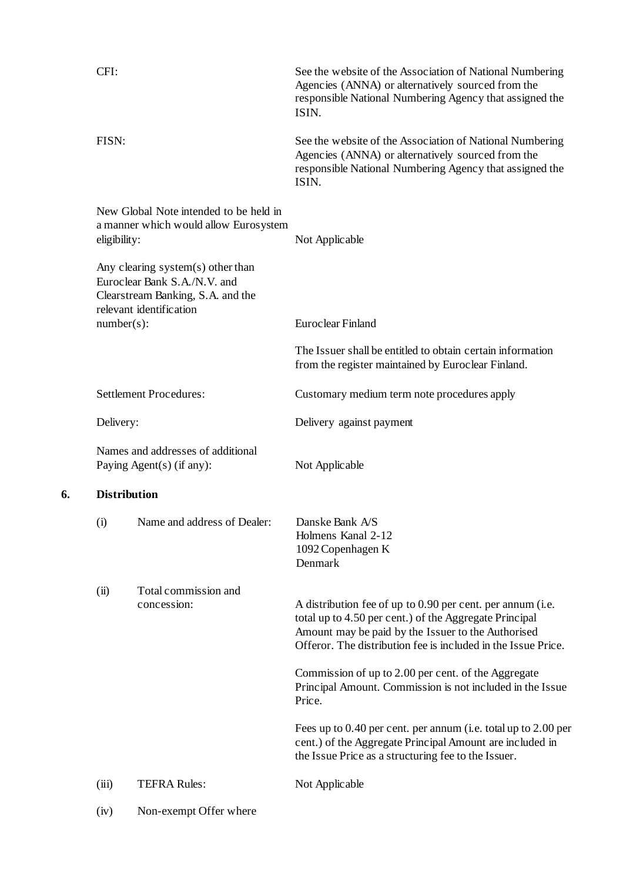| CFI:                                                                                                                                 |                                                                                 | See the website of the Association of National Numbering<br>Agencies (ANNA) or alternatively sourced from the<br>responsible National Numbering Agency that assigned the<br>ISIN.                                                           |  |  |
|--------------------------------------------------------------------------------------------------------------------------------------|---------------------------------------------------------------------------------|---------------------------------------------------------------------------------------------------------------------------------------------------------------------------------------------------------------------------------------------|--|--|
| FISN:                                                                                                                                |                                                                                 | See the website of the Association of National Numbering<br>Agencies (ANNA) or alternatively sourced from the<br>responsible National Numbering Agency that assigned the<br>ISIN.                                                           |  |  |
| eligibility:                                                                                                                         | New Global Note intended to be held in<br>a manner which would allow Eurosystem | Not Applicable                                                                                                                                                                                                                              |  |  |
| Any clearing system $(s)$ other than<br>Euroclear Bank S.A./N.V. and<br>Clearstream Banking, S.A. and the<br>relevant identification |                                                                                 |                                                                                                                                                                                                                                             |  |  |
| $number(s)$ :                                                                                                                        |                                                                                 | Euroclear Finland                                                                                                                                                                                                                           |  |  |
|                                                                                                                                      |                                                                                 | The Issuer shall be entitled to obtain certain information<br>from the register maintained by Euroclear Finland.                                                                                                                            |  |  |
|                                                                                                                                      | <b>Settlement Procedures:</b>                                                   | Customary medium term note procedures apply                                                                                                                                                                                                 |  |  |
| Delivery:                                                                                                                            |                                                                                 | Delivery against payment                                                                                                                                                                                                                    |  |  |
| Names and addresses of additional<br>Paying Agent(s) (if any):                                                                       |                                                                                 | Not Applicable                                                                                                                                                                                                                              |  |  |
| <b>Distribution</b>                                                                                                                  |                                                                                 |                                                                                                                                                                                                                                             |  |  |
| (i)                                                                                                                                  | Name and address of Dealer:                                                     | Danske Bank A/S<br>Holmens Kanal 2-12<br>1092 Copenhagen K<br>Denmark                                                                                                                                                                       |  |  |
| (ii)                                                                                                                                 | Total commission and<br>concession:                                             | A distribution fee of up to 0.90 per cent. per annum (i.e.<br>total up to 4.50 per cent.) of the Aggregate Principal<br>Amount may be paid by the Issuer to the Authorised<br>Offeror. The distribution fee is included in the Issue Price. |  |  |
|                                                                                                                                      |                                                                                 | Commission of up to 2.00 per cent. of the Aggregate<br>Principal Amount. Commission is not included in the Issue<br>Price.                                                                                                                  |  |  |
|                                                                                                                                      |                                                                                 | Fees up to 0.40 per cent. per annum (i.e. total up to 2.00 per<br>cent.) of the Aggregate Principal Amount are included in<br>the Issue Price as a structuring fee to the Issuer.                                                           |  |  |
| (iii)                                                                                                                                | <b>TEFRA Rules:</b>                                                             | Not Applicable                                                                                                                                                                                                                              |  |  |
| (iv)                                                                                                                                 | Non-exempt Offer where                                                          |                                                                                                                                                                                                                                             |  |  |

**6.**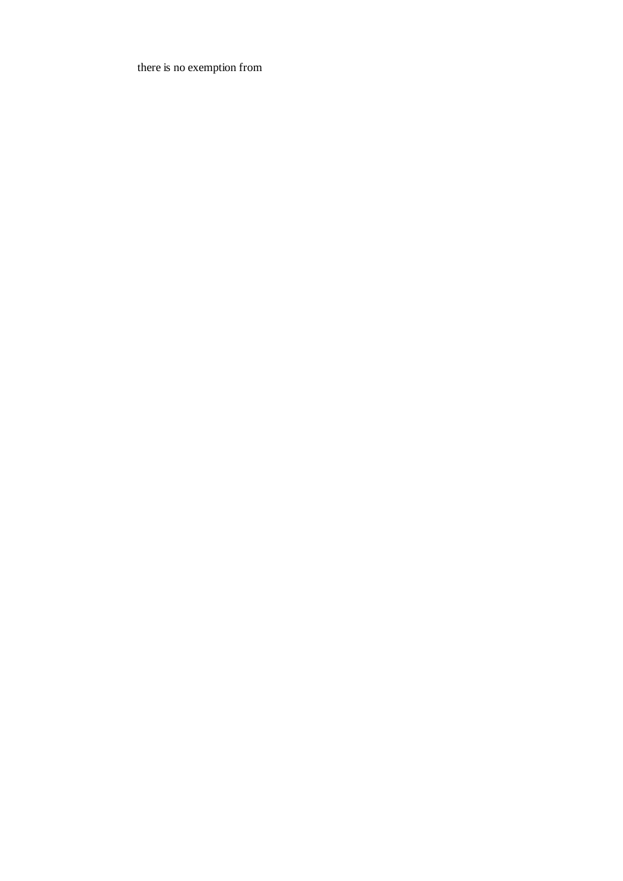there is no exemption from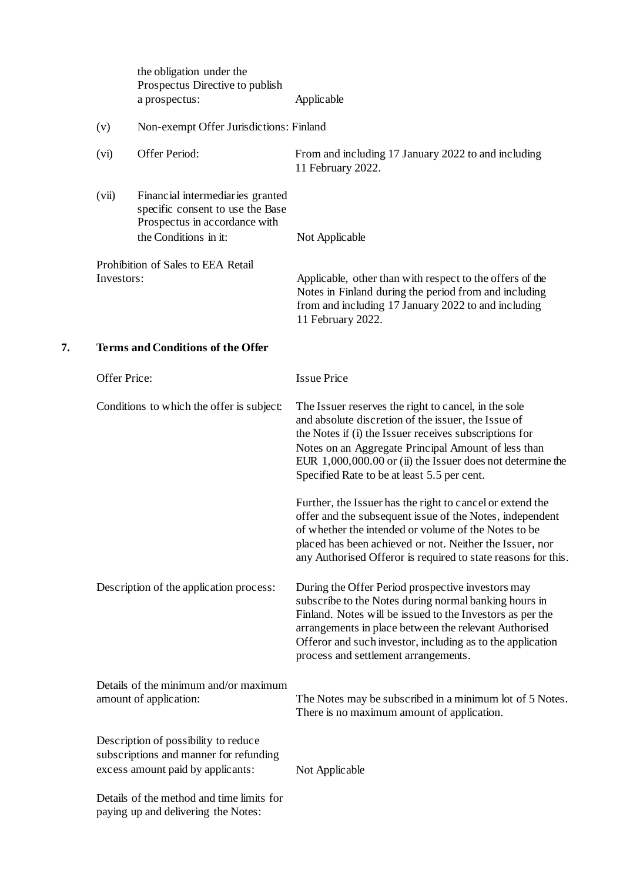|    |                                          | the obligation under the<br>Prospectus Directive to publish<br>a prospectus:                                                   | Applicable                                                                                                                                                                                                                                                                                                                                  |  |  |
|----|------------------------------------------|--------------------------------------------------------------------------------------------------------------------------------|---------------------------------------------------------------------------------------------------------------------------------------------------------------------------------------------------------------------------------------------------------------------------------------------------------------------------------------------|--|--|
|    | (v)                                      | Non-exempt Offer Jurisdictions: Finland                                                                                        |                                                                                                                                                                                                                                                                                                                                             |  |  |
|    | (vi)                                     | Offer Period:                                                                                                                  | From and including 17 January 2022 to and including<br>11 February 2022.                                                                                                                                                                                                                                                                    |  |  |
|    | (vii)                                    | Financial intermediaries granted<br>specific consent to use the Base<br>Prospectus in accordance with<br>the Conditions in it: | Not Applicable                                                                                                                                                                                                                                                                                                                              |  |  |
|    | Investors:                               | Prohibition of Sales to EEA Retail                                                                                             | Applicable, other than with respect to the offers of the<br>Notes in Finland during the period from and including<br>from and including 17 January 2022 to and including<br>11 February 2022.                                                                                                                                               |  |  |
| 7. | <b>Terms and Conditions of the Offer</b> |                                                                                                                                |                                                                                                                                                                                                                                                                                                                                             |  |  |
|    | Offer Price:                             |                                                                                                                                | <b>Issue Price</b>                                                                                                                                                                                                                                                                                                                          |  |  |
|    |                                          | Conditions to which the offer is subject:                                                                                      | The Issuer reserves the right to cancel, in the sole<br>and absolute discretion of the issuer, the Issue of<br>the Notes if (i) the Issuer receives subscriptions for<br>Notes on an Aggregate Principal Amount of less than<br>EUR $1,000,000.00$ or (ii) the Issuer does not determine the<br>Specified Rate to be at least 5.5 per cent. |  |  |
|    |                                          |                                                                                                                                | Further, the Issuer has the right to cancel or extend the<br>offer and the subsequent issue of the Notes, independent<br>of whether the intended or volume of the Notes to be<br>placed has been achieved or not. Neither the Issuer, nor<br>any Authorised Offeror is required to state reasons for this.                                  |  |  |
|    |                                          | Description of the application process:                                                                                        | During the Offer Period prospective investors may<br>subscribe to the Notes during normal banking hours in<br>Finland. Notes will be issued to the Investors as per the<br>arrangements in place between the relevant Authorised<br>Offeror and such investor, including as to the application<br>process and settlement arrangements.      |  |  |
|    |                                          | Details of the minimum and/or maximum<br>amount of application:                                                                | The Notes may be subscribed in a minimum lot of 5 Notes.<br>There is no maximum amount of application.                                                                                                                                                                                                                                      |  |  |
|    |                                          | Description of possibility to reduce<br>subscriptions and manner for refunding<br>excess amount paid by applicants:            | Not Applicable                                                                                                                                                                                                                                                                                                                              |  |  |
|    |                                          | Details of the method and time limits for<br>paying up and delivering the Notes:                                               |                                                                                                                                                                                                                                                                                                                                             |  |  |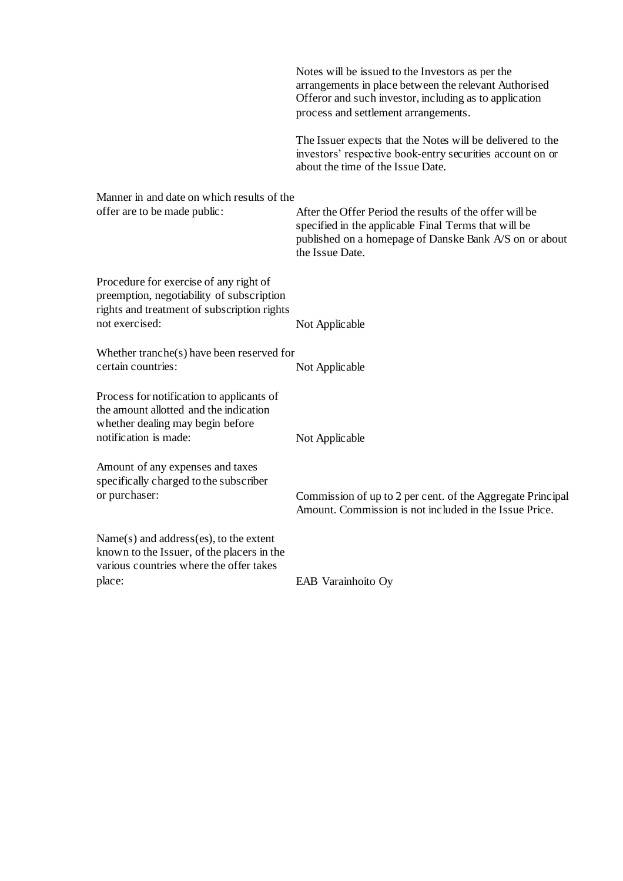|                                                                                                                                                      | Notes will be issued to the Investors as per the<br>arrangements in place between the relevant Authorised<br>Offeror and such investor, including as to application<br>process and settlement arrangements. |
|------------------------------------------------------------------------------------------------------------------------------------------------------|-------------------------------------------------------------------------------------------------------------------------------------------------------------------------------------------------------------|
|                                                                                                                                                      | The Issuer expects that the Notes will be delivered to the<br>investors' respective book-entry securities account on or<br>about the time of the Issue Date.                                                |
| Manner in and date on which results of the<br>offer are to be made public:                                                                           | After the Offer Period the results of the offer will be<br>specified in the applicable Final Terms that will be<br>published on a homepage of Danske Bank A/S on or about<br>the Issue Date.                |
| Procedure for exercise of any right of<br>preemption, negotiability of subscription<br>rights and treatment of subscription rights<br>not exercised: | Not Applicable                                                                                                                                                                                              |
| Whether tranche(s) have been reserved for<br>certain countries:                                                                                      | Not Applicable                                                                                                                                                                                              |
| Process for notification to applicants of<br>the amount allotted and the indication<br>whether dealing may begin before<br>notification is made:     | Not Applicable                                                                                                                                                                                              |
| Amount of any expenses and taxes<br>specifically charged to the subscriber<br>or purchaser:                                                          | Commission of up to 2 per cent. of the Aggregate Principal<br>Amount. Commission is not included in the Issue Price.                                                                                        |
| Name(s) and address(es), to the extent<br>known to the Issuer, of the placers in the<br>various countries where the offer takes                      |                                                                                                                                                                                                             |
| place:                                                                                                                                               | EAB Varainhoito Oy                                                                                                                                                                                          |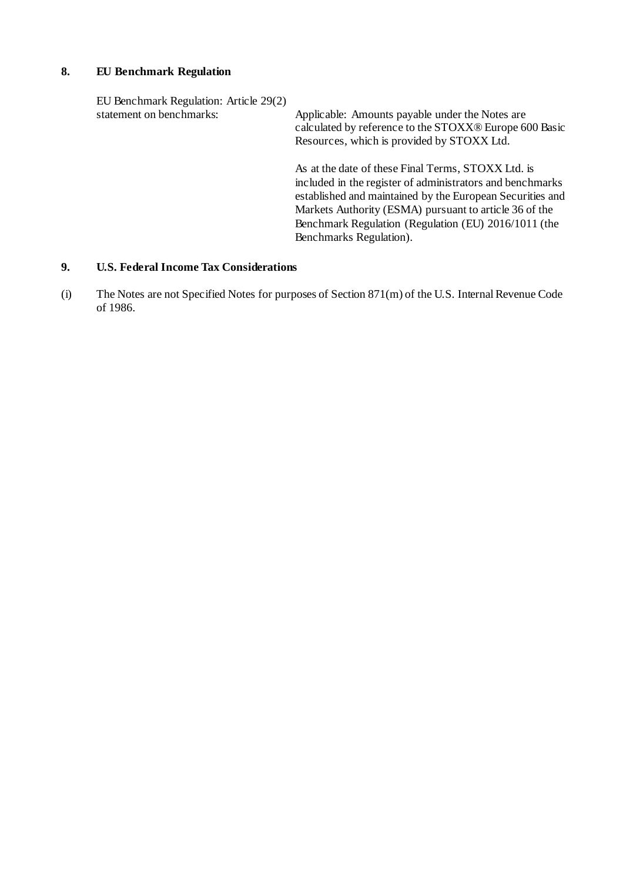#### **8. EU Benchmark Regulation**

EU Benchmark Regulation: Article 29(2)<br>statement on benchmarks: Applicable: Amounts payable under the Notes are calculated by reference to the STOXX® Europe 600 Basic Resources, which is provided by STOXX Ltd. As at the date of these Final Terms, STOXX Ltd. is included in the register of administrators and benchmarks established and maintained by the European Securities and Markets Authority (ESMA) pursuant to article 36 of the Benchmark Regulation (Regulation (EU) 2016/1011 (the Benchmarks Regulation).

### **9. U.S. Federal Income Tax Considerations**

(i) The Notes are not Specified Notes for purposes of Section 871(m) of the U.S. InternalRevenue Code of 1986.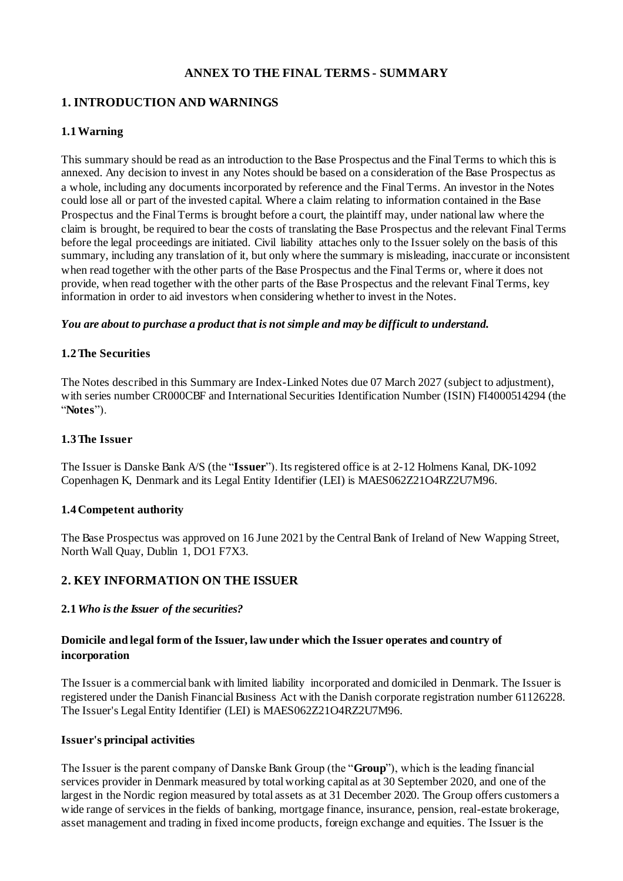## **ANNEX TO THE FINAL TERMS - SUMMARY**

## **1. INTRODUCTION AND WARNINGS**

## **1.1Warning**

This summary should be read as an introduction to the Base Prospectus and the Final Terms to which this is annexed. Any decision to invest in any Notes should be based on a consideration of the Base Prospectus as a whole, including any documents incorporated by reference and the Final Terms. An investor in the Notes could lose all or part of the invested capital. Where a claim relating to information contained in the Base Prospectus and the Final Terms is brought before a court, the plaintiff may, under national law where the claim is brought, be required to bear the costs of translating the Base Prospectus and the relevant Final Terms before the legal proceedings are initiated. Civil liability attaches only to the Issuer solely on the basis of this summary, including any translation of it, but only where the summary is misleading, inaccurate or inconsistent when read together with the other parts of the Base Prospectus and the Final Terms or, where it does not provide, when read together with the other parts of the Base Prospectus and the relevant Final Terms, key information in order to aid investors when considering whether to invest in the Notes.

#### *You are about to purchase a product that is not simple and may be difficult to understand.*

## **1.2The Securities**

The Notes described in this Summary are Index-Linked Notes due 07 March 2027 (subject to adjustment), with series number CR000CBF and International Securities Identification Number (ISIN) FI4000514294 (the "**Notes**").

#### **1.3The Issuer**

The Issuer is Danske Bank A/S (the "**Issuer**"). Itsregistered office is at 2-12 Holmens Kanal, DK-1092 Copenhagen K, Denmark and its Legal Entity Identifier (LEI) is MAES062Z21O4RZ2U7M96.

## **1.4 Competent authority**

The Base Prospectus was approved on 16 June 2021 by the CentralBank of Ireland of New Wapping Street, North Wall Quay, Dublin 1, DO1 F7X3.

## **2. KEY INFORMATION ON THE ISSUER**

#### **2.1***Who isthe Issuer of the securities?*

## **Domicile and legal form of the Issuer, lawunder which the Issuer operates and country of incorporation**

The Issuer is a commercial bank with limited liability incorporated and domiciled in Denmark. The Issuer is registered under the Danish Financial Business Act with the Danish corporate registration number 61126228. The Issuer's Legal Entity Identifier (LEI) is MAES062Z21O4RZ2U7M96.

#### **Issuer's principal activities**

The Issuer is the parent company of Danske Bank Group (the "**Group**"), which is the leading financial services provider in Denmark measured by total working capital as at 30 September 2020, and one of the largest in the Nordic region measured by total assets as at 31 December 2020. The Group offers customers a wide range of services in the fields of banking, mortgage finance, insurance, pension, real-estate brokerage, asset management and trading in fixed income products, foreign exchange and equities. The Issuer is the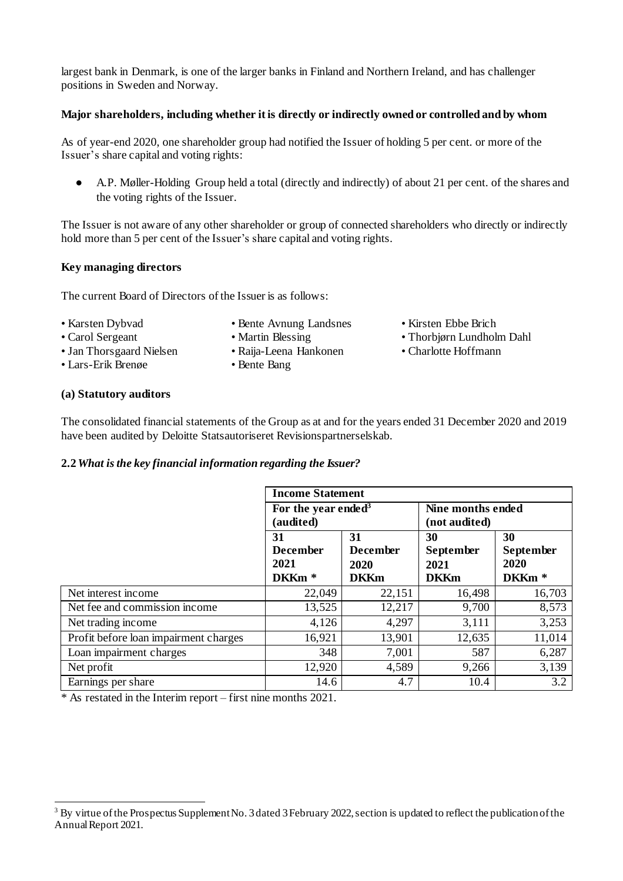largest bank in Denmark, is one of the larger banks in Finland and Northern Ireland, and has challenger positions in Sweden and Norway.

### **Major shareholders, including whether it is directly or indirectly owned or controlled and by whom**

As of year-end 2020, one shareholder group had notified the Issuer of holding 5 per cent. or more of the Issuer's share capital and voting rights:

A.P. Møller-Holding Group held a total (directly and indirectly) of about 21 per cent. of the shares and the voting rights of the Issuer.

The Issuer is not aware of any other shareholder or group of connected shareholders who directly or indirectly hold more than 5 per cent of the Issuer's share capital and voting rights.

#### **Key managing directors**

The current Board of Directors of the Issuer is as follows:

- 
- 
- 

-

- Jan Thorsgaard Nielsen Raija-Leena Hankonen Charlotte Hoffmann
- Lars-Erik Brenøe Bente Bang
- Karsten Dybvad Bente Avnung Landsnes Kirsten Ebbe Brich
- Carol Sergeant Martin Blessing Thorbjørn Lundholm Dahl
	-

#### **(a) Statutory auditors**

The consolidated financial statements of the Group as at and for the years ended 31 December 2020 and 2019 have been audited by Deloitte Statsautoriseret Revisionspartnerselskab.

#### **2.2***What isthe key financial information regarding the Issuer?*

|                                       | <b>Income Statement</b>                            |                                              |                                               |                                                     |
|---------------------------------------|----------------------------------------------------|----------------------------------------------|-----------------------------------------------|-----------------------------------------------------|
|                                       | For the year ended <sup>3</sup><br>(audited)       |                                              | Nine months ended<br>(not audited)            |                                                     |
|                                       | 31<br><b>December</b><br>2021<br>DKKm <sup>*</sup> | 31<br><b>December</b><br>2020<br><b>DKKm</b> | 30<br><b>September</b><br>2021<br><b>DKKm</b> | 30<br><b>September</b><br>2020<br>DKKm <sup>*</sup> |
| Net interest income                   | 22,049                                             | 22,151                                       | 16,498                                        | 16,703                                              |
| Net fee and commission income         | 13,525                                             | 12,217                                       | 9,700                                         | 8,573                                               |
| Net trading income                    | 4,126                                              | 4,297                                        | 3,111                                         | 3,253                                               |
| Profit before loan impairment charges | 16,921                                             | 13,901                                       | 12,635                                        | 11,014                                              |
| Loan impairment charges               | 348                                                | 7,001                                        | 587                                           | 6,287                                               |
| Net profit                            | 12,920                                             | 4,589                                        | 9,266                                         | 3,139                                               |
| Earnings per share                    | 14.6                                               | 4.7                                          | 10.4                                          | 3.2                                                 |

\* As restated in the Interim report – first nine months 2021.

 $3$  By virtue of the Prospectus Supplement No. 3 dated 3 February 2022, section is updated to reflect the publication of the Annual Report 2021.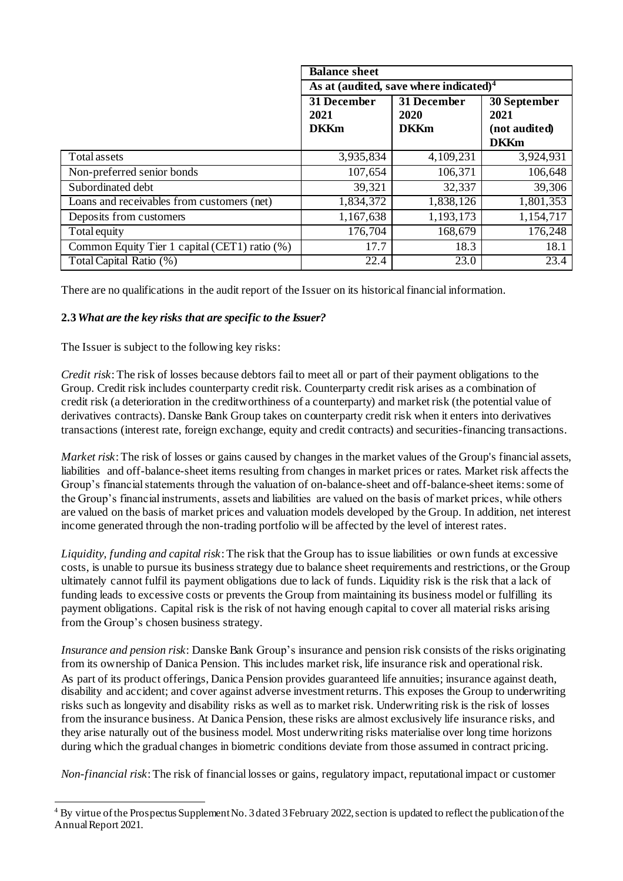|                                               | <b>Balance sheet</b>                               |                                    |                                                      |  |
|-----------------------------------------------|----------------------------------------------------|------------------------------------|------------------------------------------------------|--|
|                                               | As at (audited, save where indicated) <sup>4</sup> |                                    |                                                      |  |
|                                               | 31 December<br>2021<br><b>DKKm</b>                 | 31 December<br>2020<br><b>DKKm</b> | 30 September<br>2021<br>(not audited)<br><b>DKKm</b> |  |
| Total assets                                  | 3,935,834                                          | 4,109,231                          | 3,924,931                                            |  |
| Non-preferred senior bonds                    | 107,654                                            | 106,371                            | 106,648                                              |  |
| Subordinated debt                             | 39,321                                             | 32,337                             | 39,306                                               |  |
| Loans and receivables from customers (net)    | 1,834,372                                          | $\overline{1,838,126}$             | 1,801,353                                            |  |
| Deposits from customers                       | 1,167,638                                          | 1,193,173                          | 1,154,717                                            |  |
| Total equity                                  | 176,704                                            | 168,679                            | 176,248                                              |  |
| Common Equity Tier 1 capital (CET1) ratio (%) | 17.7                                               | 18.3                               | 18.1                                                 |  |
| Total Capital Ratio (%)                       | 22.4                                               | 23.0                               | 23.4                                                 |  |

There are no qualifications in the audit report of the Issuer on its historical financial information.

#### **2.3***What are the key risks that are specific to the Issuer?*

The Issuer is subject to the following key risks:

-

*Credit risk*: The risk of losses because debtors fail to meet all or part of their payment obligations to the Group. Credit risk includes counterparty credit risk. Counterparty credit risk arises as a combination of credit risk (a deterioration in the creditworthiness of a counterparty) and marketrisk (the potential value of derivatives contracts). Danske Bank Group takes on counterparty credit risk when it enters into derivatives transactions (interest rate, foreign exchange, equity and credit contracts) and securities-financing transactions.

*Market risk*: The risk of losses or gains caused by changes in the market values of the Group's financial assets, liabilities and off-balance-sheet items resulting from changes in market prices or rates. Market risk affects the Group's financial statements through the valuation of on-balance-sheet and off-balance-sheet items: some of the Group's financial instruments, assets and liabilities are valued on the basis of market prices, while others are valued on the basis of market prices and valuation models developed by the Group. In addition, net interest income generated through the non-trading portfolio will be affected by the level of interest rates.

*Liquidity, funding and capital risk*: The risk that the Group has to issue liabilities or own funds at excessive costs, is unable to pursue its business strategy due to balance sheet requirements and restrictions, or the Group ultimately cannot fulfil its payment obligations due to lack of funds. Liquidity risk is the risk that a lack of funding leads to excessive costs or prevents the Group from maintaining its business model or fulfilling its payment obligations. Capital risk is the risk of not having enough capital to cover all material risks arising from the Group's chosen business strategy.

*Insurance and pension risk*: Danske Bank Group's insurance and pension risk consists of the risks originating from its ownership of Danica Pension. This includes market risk, life insurance risk and operationalrisk. As part of its product offerings, Danica Pension provides guaranteed life annuities; insurance against death, disability and accident; and cover against adverse investmentreturns. This exposes the Group to underwriting risks such as longevity and disability risks as well as to market risk. Underwriting risk is the risk of losses from the insurance business. At Danica Pension, these risks are almost exclusively life insurance risks, and they arise naturally out of the business model. Most underwriting risks materialise over long time horizons during which the gradual changes in biometric conditions deviate from those assumed in contract pricing.

*Non-financial risk*:The risk of financial losses or gains, regulatory impact, reputational impact or customer

<sup>4</sup> By virtue of the Prospectus Supplement No. 3 dated 3 February 2022, section is updated to reflect the publication of the Annual Report 2021.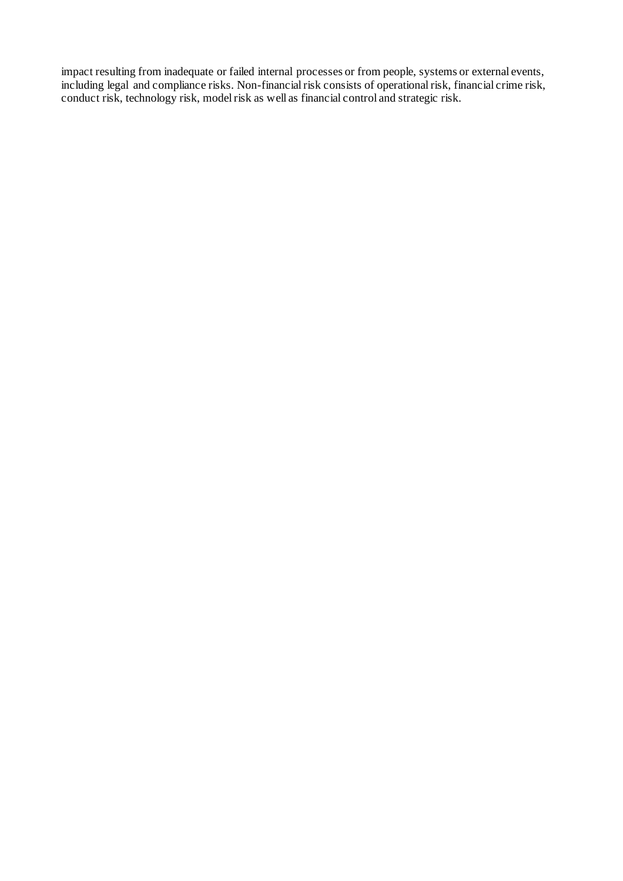impact resulting from inadequate or failed internal processes or from people, systems or external events, including legal and compliance risks. Non-financial risk consists of operational risk, financial crime risk, conduct risk, technology risk, modelrisk as well as financial control and strategic risk.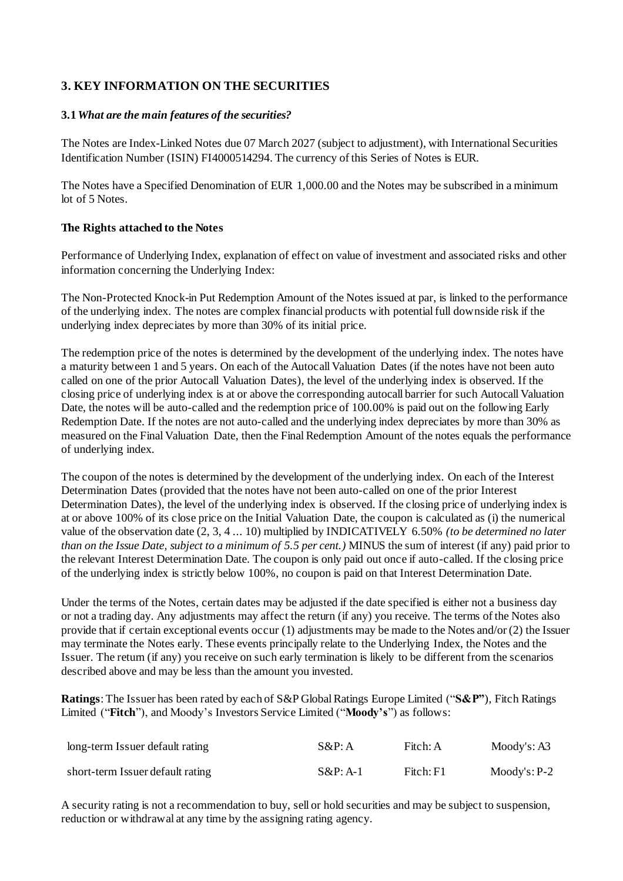## **3. KEY INFORMATION ON THE SECURITIES**

## **3.1***What are the main features of the securities?*

The Notes are Index-Linked Notes due 07 March 2027 (subject to adjustment), with International Securities Identification Number (ISIN) FI4000514294. The currency of this Series of Notes is EUR.

The Notes have a Specified Denomination of EUR 1,000.00 and the Notes may be subscribed in a minimum lot of 5 Notes.

## **The Rights attached to the Notes**

Performance of Underlying Index, explanation of effect on value of investment and associated risks and other information concerning the Underlying Index:

The Non-Protected Knock-in Put Redemption Amount of the Notes issued at par, is linked to the performance of the underlying index. The notes are complex financial products with potential full downside risk if the underlying index depreciates by more than 30% of its initial price.

The redemption price of the notes is determined by the development of the underlying index. The notes have a maturity between 1 and 5 years. On each of the Autocall Valuation Dates (if the notes have not been auto called on one of the prior Autocall Valuation Dates), the level of the underlying index is observed. If the closing price of underlying index is at or above the corresponding autocall barrier for such Autocall Valuation Date, the notes will be auto-called and the redemption price of 100.00% is paid out on the following Early Redemption Date. If the notes are not auto-called and the underlying index depreciates by more than 30% as measured on the Final Valuation Date, then the Final Redemption Amount of the notes equals the performance of underlying index.

The coupon of the notes is determined by the development of the underlying index. On each of the Interest Determination Dates (provided that the notes have not been auto-called on one of the prior Interest Determination Dates), the level of the underlying index is observed. If the closing price of underlying index is at or above 100% of its close price on the Initial Valuation Date, the coupon is calculated as (i) the numerical value of the observation date (2, 3, 4 ... 10) multiplied by INDICATIVELY 6.50% *(to be determined no later than on the Issue Date, subject to a minimum of 5.5 per cent.)* MINUS the sum of interest (if any) paid prior to the relevant Interest Determination Date. The coupon is only paid out once if auto-called. If the closing price of the underlying index is strictly below 100%, no coupon is paid on that Interest Determination Date.

Under the terms of the Notes, certain dates may be adjusted if the date specified is either not a business day or not a trading day. Any adjustments may affect the return (if any) you receive. The terms of the Notes also provide that if certain exceptional events occur (1) adjustments may be made to the Notes and/or (2) the Issuer may terminate the Notes early. These events principally relate to the Underlying Index, the Notes and the Issuer. The return (if any) you receive on such early termination is likely to be different from the scenarios described above and may be less than the amount you invested.

**Ratings**:The Issuer has been rated by each of S&P GlobalRatings Europe Limited ("**S&P"**), Fitch Ratings Limited ("**Fitch**"), and Moody's Investors Service Limited ("**Moody's**") as follows:

| long-term Issuer default rating  | $S\&P: A$   | Fitch: A  | Mody's: A3    |
|----------------------------------|-------------|-----------|---------------|
| short-term Issuer default rating | $S\&P: A-1$ | Fitch: F1 | $Mody's: P-2$ |

A security rating is not a recommendation to buy, sell or hold securities and may be subject to suspension, reduction or withdrawal at any time by the assigning rating agency.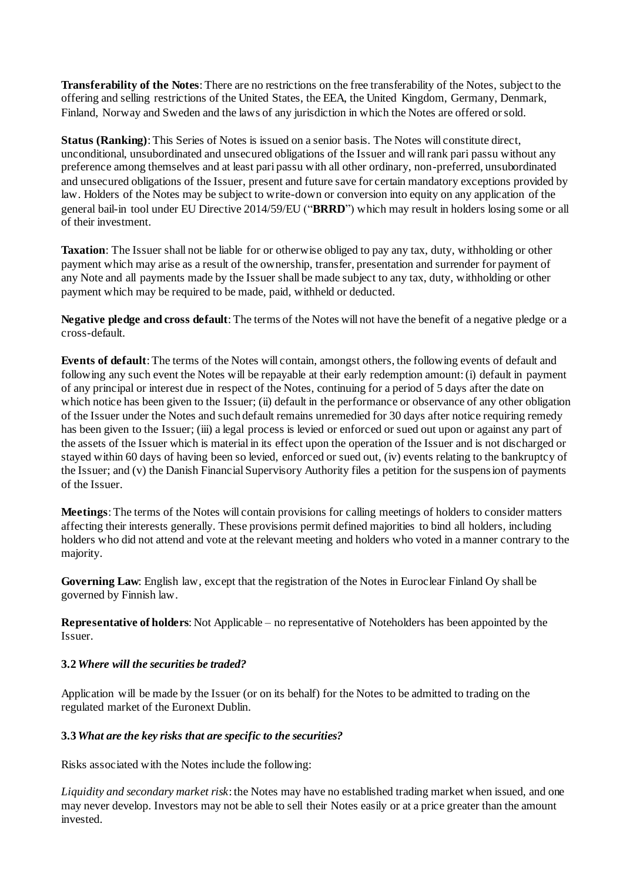**Transferability of the Notes:** There are no restrictions on the free transferability of the Notes, subject to the offering and selling restrictions of the United States, the EEA, the United Kingdom, Germany, Denmark, Finland, Norway and Sweden and the laws of any jurisdiction in which the Notes are offered orsold.

**Status (Ranking)**: This Series of Notes is issued on a senior basis. The Notes will constitute direct, unconditional, unsubordinated and unsecured obligations of the Issuer and will rank pari passu without any preference among themselves and at least pari passu with all other ordinary, non-preferred, unsubordinated and unsecured obligations of the Issuer, present and future save for certain mandatory exceptions provided by law. Holders of the Notes may be subject to write-down or conversion into equity on any application of the general bail-in tool under EU Directive 2014/59/EU ("**BRRD**") which may result in holders losing some or all of their investment.

**Taxation**: The Issuer shall not be liable for or otherwise obliged to pay any tax, duty, withholding or other payment which may arise as a result of the ownership, transfer, presentation and surrender for payment of any Note and all payments made by the Issuer shall be made subject to any tax, duty, withholding or other payment which may be required to be made, paid, withheld or deducted.

**Negative pledge and cross default**:The terms of the Notes will not have the benefit of a negative pledge or a cross-default.

**Events of default**: The terms of the Notes will contain, amongst others, the following events of default and following any such event the Notes will be repayable at their early redemption amount: (i) default in payment of any principal or interest due in respect of the Notes, continuing for a period of 5 days after the date on which notice has been given to the Issuer; (ii) default in the performance or observance of any other obligation of the Issuer under the Notes and such default remains unremedied for 30 days after notice requiring remedy has been given to the Issuer; (iii) a legal process is levied or enforced or sued out upon or against any part of the assets of the Issuer which is material in its effect upon the operation of the Issuer and is not discharged or stayed within 60 days of having been so levied, enforced or sued out, (iv) events relating to the bankruptcy of the Issuer; and (v) the Danish Financial Supervisory Authority files a petition for the suspension of payments of the Issuer.

**Meetings**: The terms of the Notes will contain provisions for calling meetings of holders to consider matters affecting their interests generally. These provisions permit defined majorities to bind all holders, including holders who did not attend and vote at the relevant meeting and holders who voted in a manner contrary to the majority.

**Governing Law**: English law, except that the registration of the Notes in Euroclear Finland Oy shall be governed by Finnish law.

**Representative of holders**: Not Applicable – no representative of Noteholders has been appointed by the Issuer.

#### **3.2***Where will the securities be traded?*

Application will be made by the Issuer (or on its behalf) for the Notes to be admitted to trading on the regulated market of the Euronext Dublin.

#### **3.3***What are the key risks that are specific to the securities?*

Risks associated with the Notes include the following:

*Liquidity and secondary market risk*: the Notes may have no established trading market when issued, and one may never develop. Investors may not be able to sell their Notes easily or at a price greater than the amount invested.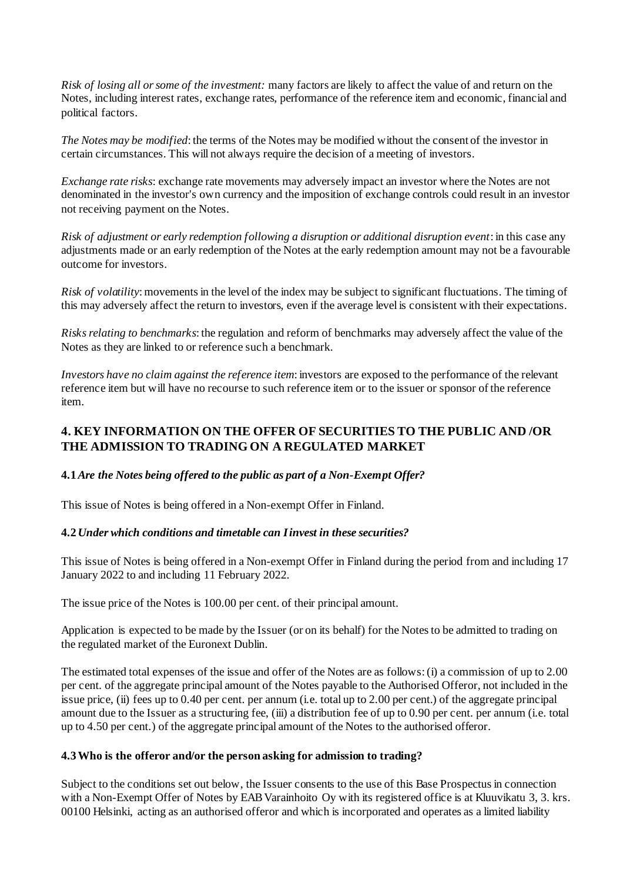*Risk of losing all or some of the investment:* many factors are likely to affect the value of and return on the Notes, including interest rates, exchange rates, performance of the reference item and economic, financial and political factors.

*The Notes may be modified*: the terms of the Notes may be modified without the consent of the investor in certain circumstances. This will not always require the decision of a meeting of investors.

*Exchange rate risks*: exchange rate movements may adversely impact an investor where the Notes are not denominated in the investor's own currency and the imposition of exchange controls could result in an investor not receiving payment on the Notes.

*Risk of adjustment or early redemption following a disruption or additional disruption event*: in this case any adjustments made or an early redemption of the Notes at the early redemption amount may not be a favourable outcome for investors.

*Risk of volatility*: movements in the level of the index may be subject to significant fluctuations. The timing of this may adversely affect the return to investors, even if the average level is consistent with their expectations.

*Risksrelating to benchmarks*: the regulation and reform of benchmarks may adversely affect the value of the Notes as they are linked to or reference such a benchmark.

*Investors have no claim against the reference item*: investors are exposed to the performance of the relevant reference item but will have no recourse to such reference item or to the issuer or sponsor of the reference item.

## **4. KEY INFORMATION ON THE OFFER OF SECURITIES TO THE PUBLIC AND /OR THE ADMISSION TO TRADING ON A REGULATED MARKET**

## **4.1***Are the Notes being offered to the public as part of a Non-Exempt Offer?*

This issue of Notes is being offered in a Non-exempt Offer in Finland.

## **4.2** *Under which conditions and timetable can Iinvest in these securities?*

This issue of Notes is being offered in a Non-exempt Offer in Finland during the period from and including 17 January 2022 to and including 11 February 2022.

The issue price of the Notes is 100.00 per cent. of their principal amount.

Application is expected to be made by the Issuer (or on its behalf) for the Notesto be admitted to trading on the regulated market of the Euronext Dublin.

The estimated total expenses of the issue and offer of the Notes are as follows: (i) a commission of up to 2.00 per cent. of the aggregate principal amount of the Notes payable to the Authorised Offeror, not included in the issue price, (ii) fees up to 0.40 per cent. per annum (i.e. total up to 2.00 per cent.) of the aggregate principal amount due to the Issuer as a structuring fee, (iii) a distribution fee of up to 0.90 per cent. per annum (i.e. total up to 4.50 per cent.) of the aggregate principal amount of the Notes to the authorised offeror.

#### **4.3Who is the offeror and/or the person asking for admission to trading?**

Subject to the conditions set out below, the Issuer consents to the use of this Base Prospectus in connection with a Non-Exempt Offer of Notes by EAB Varainhoito Oy with its registered office is at Kluuvikatu 3, 3. krs. 00100 Helsinki, acting as an authorised offeror and which is incorporated and operates as a limited liability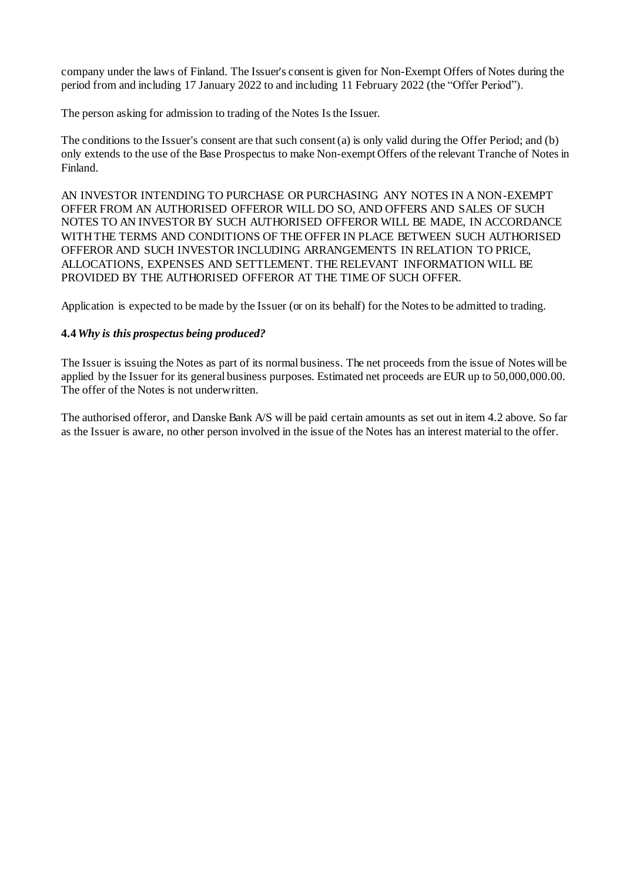company under the laws of Finland. The Issuer's consent is given for Non-Exempt Offers of Notes during the period from and including 17 January 2022 to and including 11 February 2022 (the "Offer Period").

The person asking for admission to trading of the Notes Is the Issuer.

The conditions to the Issuer's consent are that such consent (a) is only valid during the Offer Period; and (b) only extends to the use of the Base Prospectus to make Non-exempt Offers of the relevant Tranche of Notes in Finland.

AN INVESTOR INTENDING TO PURCHASE OR PURCHASING ANY NOTES IN A NON-EXEMPT OFFER FROM AN AUTHORISED OFFEROR WILL DO SO, AND OFFERS AND SALES OF SUCH NOTES TO AN INVESTOR BY SUCH AUTHORISED OFFEROR WILL BE MADE, IN ACCORDANCE WITH THE TERMS AND CONDITIONS OF THE OFFER IN PLACE BETWEEN SUCH AUTHORISED OFFEROR AND SUCH INVESTOR INCLUDING ARRANGEMENTS IN RELATION TO PRICE, ALLOCATIONS, EXPENSES AND SETTLEMENT. THE RELEVANT INFORMATION WILL BE PROVIDED BY THE AUTHORISED OFFEROR AT THE TIME OF SUCH OFFER.

Application is expected to be made by the Issuer (or on its behalf) for the Notes to be admitted to trading.

## **4.4***Why is this prospectus being produced?*

The Issuer is issuing the Notes as part of its normal business. The net proceeds from the issue of Notes will be applied by the Issuer for its general business purposes. Estimated net proceeds are EUR up to 50,000,000.00. The offer of the Notes is not underwritten.

The authorised offeror, and Danske Bank A/S will be paid certain amounts as set out in item 4.2 above. So far as the Issuer is aware, no other person involved in the issue of the Notes has an interest material to the offer.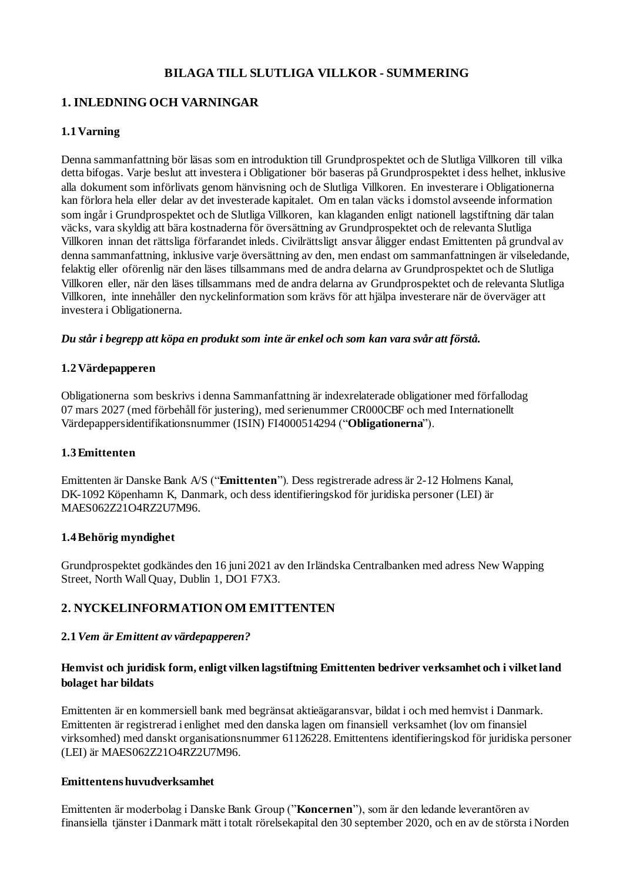## **BILAGA TILL SLUTLIGA VILLKOR - SUMMERING**

## **1. INLEDNING OCH VARNINGAR**

## **1.1 Varning**

Denna sammanfattning bör läsas som en introduktion till Grundprospektet och de Slutliga Villkoren till vilka detta bifogas. Varje beslut att investera i Obligationer bör baseras på Grundprospektet i dess helhet, inklusive alla dokument som införlivats genom hänvisning och de Slutliga Villkoren. En investerare i Obligationerna kan förlora hela eller delar av det investerade kapitalet. Om en talan väcks i domstol avseende information som ingår i Grundprospektet och de Slutliga Villkoren, kan klaganden enligt nationell lagstiftning där talan väcks, vara skyldig att bära kostnaderna för översättning av Grundprospektet och de relevanta Slutliga Villkoren innan det rättsliga förfarandet inleds. Civilrättsligt ansvar åligger endast Emittenten på grundval av denna sammanfattning, inklusive varje översättning av den, men endast om sammanfattningen är vilseledande, felaktig eller oförenlig när den läses tillsammans med de andra delarna av Grundprospektet och de Slutliga Villkoren eller, när den läses tillsammans med de andra delarna av Grundprospektet och de relevanta Slutliga Villkoren, inte innehåller den nyckelinformation som krävs för att hjälpa investerare när de överväger att investera i Obligationerna.

#### *Du står i begrepp att köpa en produkt som inte är enkel och som kan vara svår att förstå.*

## **1.2 Värdepapperen**

Obligationerna som beskrivs i denna Sammanfattning är indexrelaterade obligationer med förfallodag 07 mars 2027 (med förbehåll för justering), med serienummer CR000CBF och med Internationellt Värdepappersidentifikationsnummer (ISIN) FI4000514294 ("**Obligationerna**").

## **1.3Emittenten**

Emittenten är Danske Bank A/S ("**Emittenten**"). Dess registrerade adress är 2-12 Holmens Kanal, DK-1092 Köpenhamn K, Danmark, och dess identifieringskod för juridiska personer (LEI) är MAES062Z21O4RZ2U7M96.

#### **1.4Behörig myndighet**

Grundprospektet godkändes den 16 juni 2021 av den Irländska Centralbanken med adress New Wapping Street, North Wall Quay, Dublin 1, DO1 F7X3.

## **2. NYCKELINFORMATION OM EMITTENTEN**

## **2.1***Vem är Emittent av värdepapperen?*

## **Hemvist och juridisk form, enligt vilken lagstiftning Emittenten bedriver verksamhet och i vilket land bolaget har bildats**

Emittenten är en kommersiell bank med begränsat aktieägaransvar, bildat i och med hemvist i Danmark. Emittenten är registrerad i enlighet med den danska lagen om finansiell verksamhet (lov om finansiel virksomhed) med danskt organisationsnummer 61126228. Emittentens identifieringskod för juridiska personer (LEI) är MAES062Z21O4RZ2U7M96.

## **Emittentenshuvudverksamhet**

Emittenten är moderbolag i Danske Bank Group ("**Koncernen**"), som är den ledande leverantören av finansiella tjänster i Danmark mätt i totalt rörelsekapital den 30 september 2020, och en av de största i Norden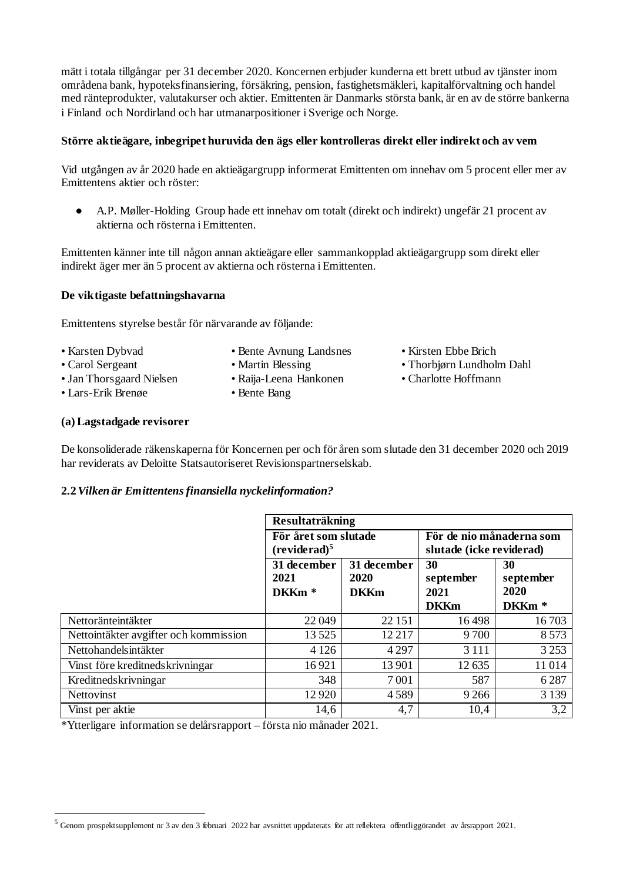mätt i totala tillgångar per 31 december 2020. Koncernen erbjuder kunderna ett brett utbud av tjänster inom områdena bank, hypoteksfinansiering, försäkring, pension, fastighetsmäkleri, kapitalförvaltning och handel med ränteprodukter, valutakurser och aktier. Emittenten är Danmarks största bank, är en av de större bankerna i Finland och Nordirland och har utmanarpositioner i Sverige och Norge.

#### **Större aktieägare, inbegripet huruvida den ägs eller kontrolleras direkt eller indirekt och av vem**

Vid utgången av år 2020 hade en aktieägargrupp informerat Emittenten om innehav om 5 procent eller mer av Emittentens aktier och röster:

● A.P. Møller-Holding Group hade ett innehav om totalt (direkt och indirekt) ungefär 21 procent av aktierna och rösterna i Emittenten.

Emittenten känner inte till någon annan aktieägare eller sammankopplad aktieägargrupp som direkt eller indirekt äger mer än 5 procent av aktierna och rösterna i Emittenten.

#### **De viktigaste befattningshavarna**

Emittentens styrelse består för närvarande av följande:

- 
- Karsten Dybvad Bente Avnung Landsnes Kirsten Ebbe Brich
- 

-

- 
- Jan Thorsgaard Nielsen Raija-Leena Hankonen Charlotte Hoffmann
- Lars-Erik Brenøe Bente Bang
- 
- Carol Sergeant Martin Blessing Thorbjørn Lundholm Dahl
	-

#### **(a) Lagstadgade revisorer**

De konsoliderade räkenskaperna för Koncernen per och för åren som slutade den 31 december 2020 och 2019 har reviderats av Deloitte Statsautoriseret Revisionspartnerselskab.

#### **2.2***Vilken är Emittentensfinansiella nyckelinformation?*

|                                       | <b>Resultaträkning</b>                           |                                    |                                                      |                                              |
|---------------------------------------|--------------------------------------------------|------------------------------------|------------------------------------------------------|----------------------------------------------|
|                                       | För året som slutade<br>(reviderad) <sup>5</sup> |                                    | För de nio månaderna som<br>slutade (icke reviderad) |                                              |
|                                       | 31 december<br>2021<br>DKKm <sup>*</sup>         | 31 december<br>2020<br><b>DKKm</b> | 30<br>september<br>2021<br><b>DKKm</b>               | 30<br>september<br>2020<br>DKKm <sup>*</sup> |
| Nettoränteintäkter                    | 22 049                                           | 22 15 1                            | 16498                                                | 16703                                        |
| Nettointäkter avgifter och kommission | 13525                                            | 12 217                             | 9 700                                                | 8573                                         |
| Nettohandelsintäkter                  | 4 1 2 6                                          | 4 2 9 7                            | 3 1 1 1                                              | 3 2 5 3                                      |
| Vinst före kreditnedskrivningar       | 16921                                            | 13 901                             | 12635                                                | 11014                                        |
| Kreditnedskrivningar                  | 348                                              | 7 0 0 1                            | 587                                                  | 6287                                         |
| Nettovinst                            | 12920                                            | 4589                               | 9 2 6 6                                              | 3 1 3 9                                      |
| Vinst per aktie                       | 14,6                                             | 4,7                                | 10,4                                                 | 3,2                                          |

\*Ytterligare information se delårsrapport – första nio månader 2021.

 $^5$  Genom prospektsupplement nr 3 av den 3 februari 2022 har avsnittet uppdaterats för att reflektera offentliggörandet av årsrapport 2021.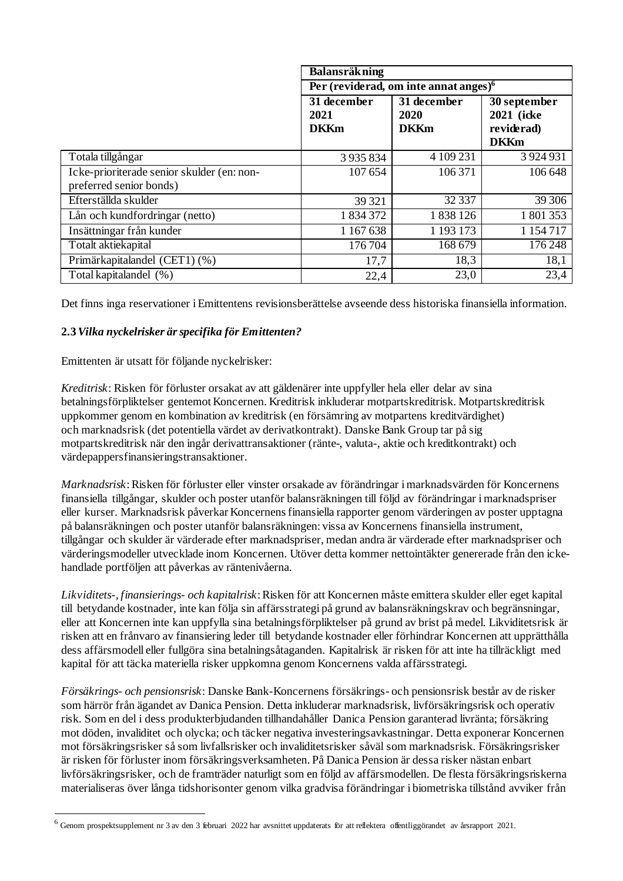|                                                                       | <b>Balansräkning</b>               |                                          |                                                         |  |  |
|-----------------------------------------------------------------------|------------------------------------|------------------------------------------|---------------------------------------------------------|--|--|
|                                                                       |                                    | Per (reviderad, om inte annat anges) $6$ |                                                         |  |  |
|                                                                       | 31 december<br>2021<br><b>DKKm</b> | 31 december<br>2020<br><b>DKKm</b>       | 30 september<br>2021 (icke<br>reviderad)<br><b>DKKm</b> |  |  |
| Totala tillgångar                                                     | 3 9 3 5 8 3 4                      | 4 109 231                                | 3 9 24 9 31                                             |  |  |
| Icke-prioriterade senior skulder (en: non-<br>preferred senior bonds) | 107 654                            | 106 371                                  | 106 648                                                 |  |  |
| Efterställda skulder                                                  | 39 321                             | 32 337                                   | 39 30 6                                                 |  |  |
| Lån och kundfordringar (netto)                                        | 1834372                            | 1838126                                  | 1 801 353                                               |  |  |
| Insättningar från kunder                                              | 1 167 638                          | 1 1 9 1 1 7 3                            | 1 154 717                                               |  |  |
| Totalt aktiekapital                                                   | 176 704                            | 168 679                                  | 176 248                                                 |  |  |
| Primärkapitalandel (CET1) (%)                                         | 17,7                               | 18,3                                     | 18,1                                                    |  |  |
| Total kapitalandel (%)                                                | 22,4                               | 23,0                                     | 23,4                                                    |  |  |

Det finns inga reservationer iEmittentens revisionsberättelse avseende dess historiska finansiella information.

## **2.3***Vilka nyckelrisker ärspecifika för Emittenten?*

Emittenten är utsatt för följande nyckelrisker:

-

*Kreditrisk*: Risken för förluster orsakat av att gäldenärer inte uppfyller hela eller delar av sina betalningsförpliktelser gentemot Koncernen. Kreditrisk inkluderar motpartskreditrisk. Motpartskreditrisk uppkommer genom en kombination av kreditrisk (en försämring av motpartens kreditvärdighet) och marknadsrisk (det potentiella värdet av derivatkontrakt). Danske Bank Group tar på sig motpartskreditrisk när den ingår derivattransaktioner (ränte-, valuta-, aktie och kreditkontrakt) och värdepappersfinansieringstransaktioner.

*Marknadsrisk*: Risken för förluster eller vinster orsakade av förändringar i marknadsvärden för Koncernens finansiella tillgångar, skulder och poster utanför balansräkningen till följd av förändringar i marknadspriser eller kurser. Marknadsrisk påverkar Koncernens finansiella rapporter genom värderingen av poster upptagna på balansräkningen och poster utanför balansräkningen: vissa av Koncernens finansiella instrument, tillgångar och skulder är värderade efter marknadspriser, medan andra är värderade efter marknadspriser och värderingsmodeller utvecklade inom Koncernen. Utöver detta kommer nettointäkter genererade från den ickehandlade portföljen att påverkas av räntenivåerna.

*Likviditets-, finansierings- och kapitalrisk*: Risken för att Koncernen måste emittera skulder eller eget kapital till betydande kostnader, inte kan följa sin affärsstrategi på grund av balansräkningskrav och begränsningar, eller att Koncernen inte kan uppfylla sina betalningsförpliktelser på grund av brist på medel. Likviditetsrisk är risken att en frånvaro av finansiering leder till betydande kostnader eller förhindrar Koncernen att upprätthålla dess affärsmodell eller fullgöra sina betalningsåtaganden. Kapitalrisk är risken för att inte ha tillräckligt med kapital för att täcka materiella risker uppkomna genom Koncernens valda affärsstrategi.

*Försäkrings- och pensionsrisk*: Danske Bank-Koncernens försäkrings- och pensionsrisk består av de risker som härrör från ägandet av Danica Pension. Detta inkluderar marknadsrisk, livförsäkringsrisk och operativ risk. Som en del i dess produkterbjudanden tillhandahåller Danica Pension garanterad livränta; försäkring mot döden, invaliditet och olycka; och täcker negativa investeringsavkastningar. Detta exponerar Koncernen mot försäkringsrisker så som livfallsrisker och invaliditetsrisker såväl som marknadsrisk. Försäkringsrisker är risken för förluster inom försäkringsverksamheten. På Danica Pension är dessa risker nästan enbart livförsäkringsrisker, och de framträder naturligt som en följd av affärsmodellen. De flesta försäkringsriskerna materialiseras över långa tidshorisonter genom vilka gradvisa förändringar i biometriska tillstånd avviker från

<sup>6</sup> Genom prospektsupplement nr 3 av den 3 februari 2022 har avsnittet uppdaterats för att reflektera offentliggörandet av årsrapport 2021.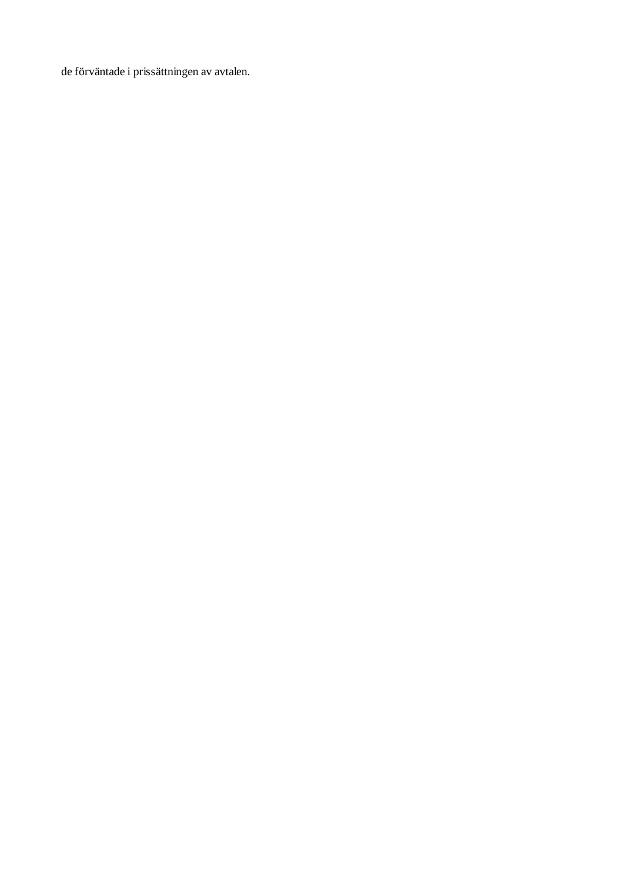de förväntade i prissättningen av avtalen.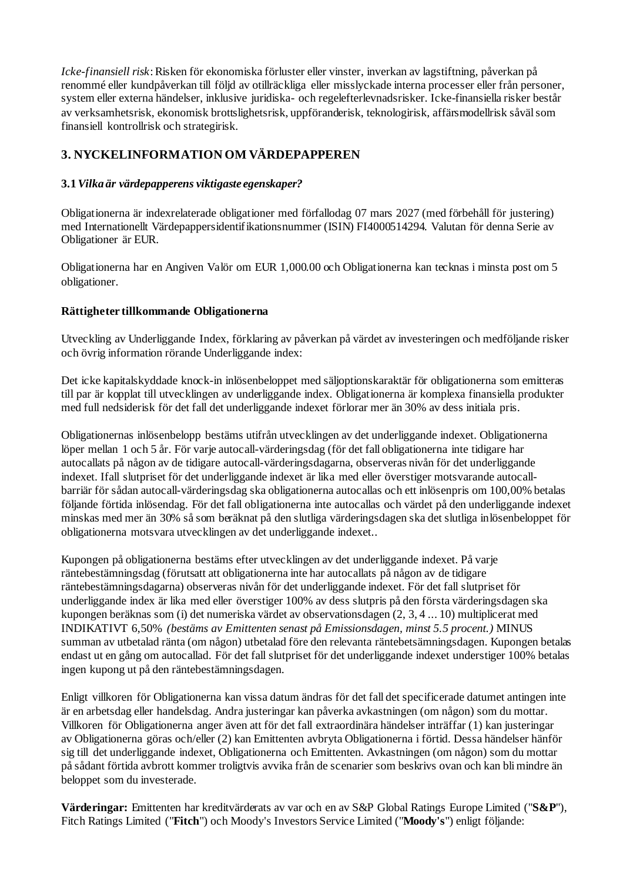*Icke-finansiell risk*: Risken för ekonomiska förluster eller vinster, inverkan av lagstiftning, påverkan på renommé eller kundpåverkan till följd av otillräckliga eller misslyckade interna processer eller från personer, system eller externa händelser, inklusive juridiska- och regelefterlevnadsrisker. Icke-finansiella risker består av verksamhetsrisk, ekonomisk brottslighetsrisk, uppföranderisk, teknologirisk, affärsmodellrisk såväl som finansiell kontrollrisk och strategirisk.

## **3. NYCKELINFORMATION OM VÄRDEPAPPEREN**

## **3.1***Vilka är värdepapperens viktigaste egenskaper?*

Obligationerna är indexrelaterade obligationer med förfallodag 07 mars 2027 (med förbehåll för justering) med Internationellt Värdepappersidentifikationsnummer (ISIN) FI4000514294. Valutan för denna Serie av Obligationer är EUR.

Obligationerna har en Angiven Valör om EUR 1,000.00 och Obligationerna kan tecknas i minsta post om 5 obligationer.

## **Rättigheter tillkommande Obligationerna**

Utveckling av Underliggande Index, förklaring av påverkan på värdet av investeringen och medföljande risker och övrig information rörande Underliggande index:

Det icke kapitalskyddade knock-in inlösenbeloppet med säljoptionskaraktär för obligationerna som emitteras till par är kopplat till utvecklingen av underliggande index. Obligationerna är komplexa finansiella produkter med full nedsiderisk för det fall det underliggande indexet förlorar mer än 30% av dess initiala pris.

Obligationernas inlösenbelopp bestäms utifrån utvecklingen av det underliggande indexet. Obligationerna löper mellan 1 och 5 år. För varje autocall-värderingsdag (för det fall obligationerna inte tidigare har autocallats på någon av de tidigare autocall-värderingsdagarna, observeras nivån för det underliggande indexet. Ifall slutpriset för det underliggande indexet är lika med eller överstiger motsvarande autocallbarriär för sådan autocall-värderingsdag ska obligationerna autocallas och ett inlösenpris om 100,00% betalas följande förtida inlösendag. För det fall obligationerna inte autocallas och värdet på den underliggande indexet minskas med mer än 30% så som beräknat på den slutliga värderingsdagen ska det slutliga inlösenbeloppet för obligationerna motsvara utvecklingen av det underliggande indexet..

Kupongen på obligationerna bestäms efter utvecklingen av det underliggande indexet. På varje räntebestämningsdag (förutsatt att obligationerna inte har autocallats på någon av de tidigare räntebestämningsdagarna) observeras nivån för det underliggande indexet. För det fall slutpriset för underliggande index är lika med eller överstiger 100% av dess slutpris på den första värderingsdagen ska kupongen beräknas som (i) det numeriska värdet av observationsdagen (2, 3, 4 ... 10) multiplicerat med INDIKATIVT 6,50% *(bestäms av Emittenten senast på Emissionsdagen, minst 5.5 procent.)* MINUS summan av utbetalad ränta (om någon) utbetalad före den relevanta räntebetsämningsdagen. Kupongen betalas endast ut en gång om autocallad. För det fall slutpriset för det underliggande indexet understiger 100% betalas ingen kupong ut på den räntebestämningsdagen.

Enligt villkoren för Obligationerna kan vissa datum ändras för det fall det specificerade datumet antingen inte är en arbetsdag eller handelsdag. Andra justeringar kan påverka avkastningen (om någon) som du mottar. Villkoren för Obligationerna anger även att för det fall extraordinära händelser inträffar (1) kan justeringar av Obligationerna göras och/eller (2) kan Emittenten avbryta Obligationerna i förtid. Dessa händelser hänför sig till det underliggande indexet, Obligationerna och Emittenten. Avkastningen (om någon) som du mottar på sådant förtida avbrott kommer troligtvis avvika från de scenarier som beskrivs ovan och kan blimindre än beloppet som du investerade.

**Värderingar:** Emittenten har kreditvärderats av var och en av S&P Global Ratings Europe Limited ("**S&P**"), Fitch Ratings Limited ("**Fitch**") och Moody's Investors Service Limited ("**Moody's**") enligt följande: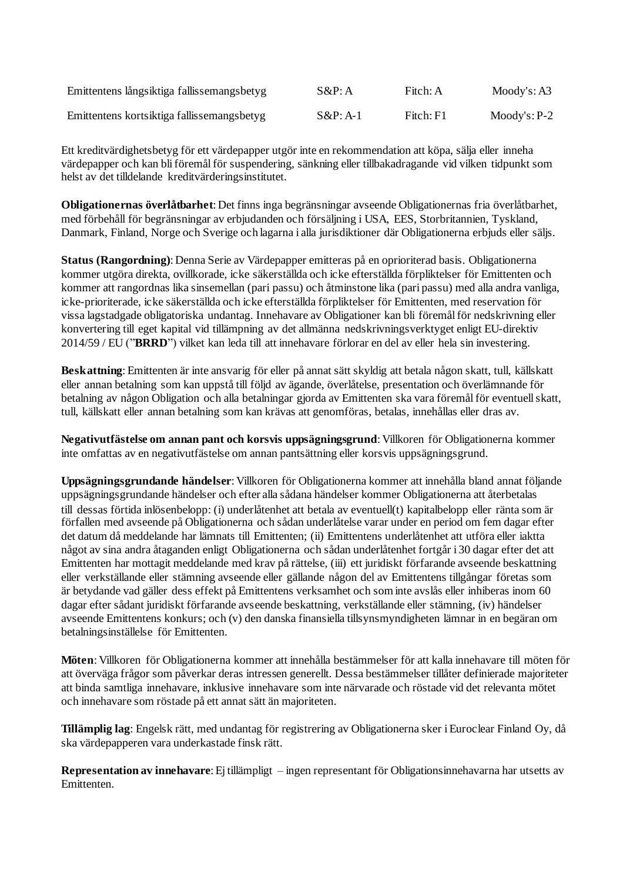| Emittentens långsiktiga fallissemangsbetyg | $S\&P:A$    | Fitch: A  | Mody's: A3    |
|--------------------------------------------|-------------|-----------|---------------|
| Emittentens kortsiktiga fallissemangsbetyg | $S\&P: A-1$ | Fitch: F1 | $Mody's: P-2$ |

Ett kreditvärdighetsbetyg för ett värdepapper utgör inte en rekommendation att köpa, sälja eller inneha värdepapper och kan bliföremålför suspendering, sänkning eller tillbakadragande vid vilken tidpunkt som helst av det tilldelande kreditvärderingsinstitutet.

**Obligationernas överlåtbarhet**: Det finns inga begränsningar avseende Obligationernas fria överlåtbarhet, med förbehåll för begränsningar av erbjudanden och försäljning i USA, EES, Storbritannien, Tyskland, Danmark, Finland, Norge och Sverige och lagarna i alla jurisdiktioner där Obligationerna erbjuds eller säljs.

**Status (Rangordning)**: Denna Serie av Värdepapper emitteras på en oprioriterad basis. Obligationerna kommer utgöra direkta, ovillkorade, icke säkerställda och icke efterställda förpliktelser för Emittenten och kommer att rangordnas lika sinsemellan (pari passu) och åtminstone lika (pari passu) med alla andra vanliga, icke-prioriterade, icke säkerställda och icke efterställda förpliktelser för Emittenten, med reservation för vissa lagstadgade obligatoriska undantag. Innehavare av Obligationer kan bli föremål för nedskrivning eller konvertering till eget kapital vid tillämpning av det allmänna nedskrivningsverktyget enligt EU-direktiv 2014/59 / EU ("**BRRD**") vilket kan leda till att innehavare förlorar en del av eller hela sin investering.

**Beskattning**: Emittenten är inte ansvarig för eller på annat sätt skyldig att betala någon skatt, tull, källskatt eller annan betalning som kan uppstå till följd av ägande, överlåtelse, presentation och överlämnande för betalning av någon Obligation och alla betalningar gjorda av Emittenten ska vara föremål för eventuell skatt, tull, källskatt eller annan betalning som kan krävas att genomföras, betalas, innehållas eller dras av.

**Negativutfästelse om annan pant och korsvis uppsägningsgrund**: Villkoren för Obligationerna kommer inte omfattas av en negativutfästelse om annan pantsättning eller korsvis uppsägningsgrund.

**Uppsägningsgrundande händelser**: Villkoren för Obligationerna kommer att innehålla bland annat följande uppsägningsgrundande händelser och efter alla sådana händelser kommer Obligationerna att återbetalas till dessas förtida inlösenbelopp: (i) underlåtenhet att betala av eventuell(t) kapitalbelopp eller ränta som är förfallen med avseende på Obligationerna och sådan underlåtelse varar under en period om fem dagar efter det datum då meddelande har lämnats till Emittenten; (ii) Emittentens underlåtenhet att utföra eller iaktta något av sina andra åtaganden enligt Obligationerna och sådan underlåtenhet fortgår i 30 dagar efter det att Emittenten har mottagit meddelande med krav på rättelse, (iii) ett juridiskt förfarande avseende beskattning eller verkställande eller stämning avseende eller gällande någon del av Emittentens tillgångar företas som är betydande vad gäller dess effekt på Emittentens verksamhet och som inte avslås eller inhiberas inom 60 dagar efter sådant juridiskt förfarande avseende beskattning, verkställande eller stämning, (iv) händelser avseende Emittentens konkurs; och (v) den danska finansiella tillsynsmyndigheten lämnar in en begäran om betalningsinställelse för Emittenten.

**Möten**: Villkoren för Obligationerna kommer att innehålla bestämmelser för att kalla innehavare till möten för att överväga frågor som påverkar deras intressen generellt. Dessa bestämmelser tillåter definierade majoriteter att binda samtliga innehavare, inklusive innehavare som inte närvarade och röstade vid det relevanta mötet och innehavare som röstade på ett annat sätt än majoriteten.

**Tillämplig lag**: Engelsk rätt, med undantag för registrering av Obligationerna sker iEuroclear Finland Oy, då ska värdepapperen vara underkastade finsk rätt.

**Representation av innehavare**:Ej tillämpligt – ingen representant för Obligationsinnehavarna har utsetts av Emittenten.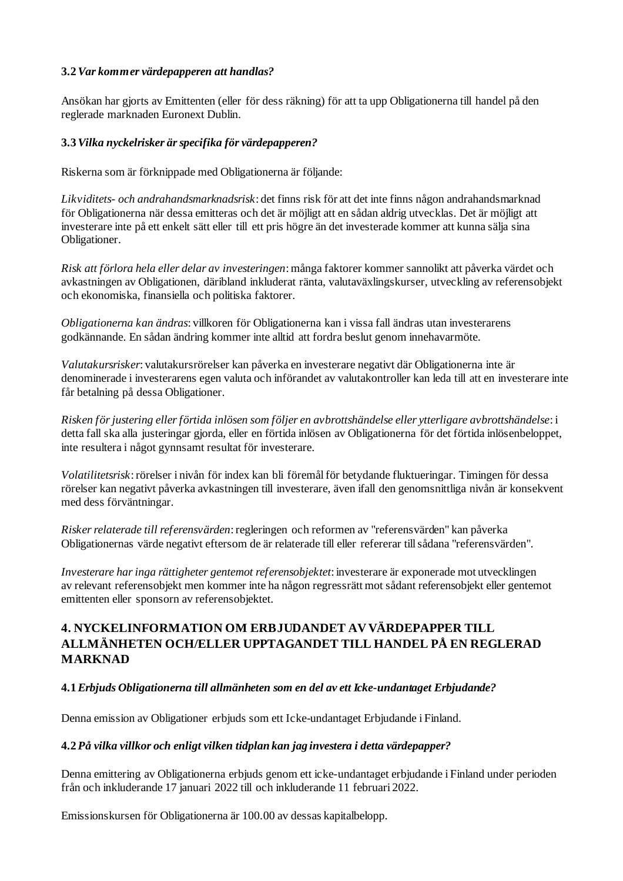## **3.2***Var kommer värdepapperen att handlas?*

Ansökan har gjorts av Emittenten (eller för dess räkning) för att ta upp Obligationerna till handel på den reglerade marknaden Euronext Dublin.

#### **3.3***Vilka nyckelrisker ärspecifika för värdepapperen?*

Riskerna som är förknippade med Obligationerna är följande:

*Likviditets- och andrahandsmarknadsrisk*: det finns risk för att det inte finns någon andrahandsmarknad för Obligationerna när dessa emitteras och det är möjligt att en sådan aldrig utvecklas. Det är möjligt att investerare inte på ett enkelt sätt eller till ett pris högre än det investerade kommer att kunna sälja sina Obligationer.

*Risk att förlora hela eller delar av investeringen*: många faktorer kommer sannolikt att påverka värdet och avkastningen av Obligationen, däribland inkluderat ränta, valutaväxlingskurser, utveckling av referensobjekt och ekonomiska, finansiella och politiska faktorer.

*Obligationerna kan ändras*: villkoren för Obligationerna kan i vissa fall ändras utan investerarens godkännande. En sådan ändring kommer inte alltid att fordra beslut genom innehavarmöte.

*Valutakursrisker*: valutakursrörelser kan påverka en investerare negativt där Obligationerna inte är denominerade i investerarens egen valuta och införandet av valutakontroller kan leda till att en investerare inte får betalning på dessa Obligationer.

*Risken för justering eller förtida inlösen som följer en avbrottshändelse eller ytterligare avbrottshändelse*: i detta fall ska alla justeringar gjorda, eller en förtida inlösen av Obligationerna för det förtida inlösenbeloppet, inte resultera i något gynnsamt resultat för investerare.

*Volatilitetsrisk*: rörelser i nivån för index kan bli föremål för betydande fluktueringar. Timingen för dessa rörelser kan negativt påverka avkastningen till investerare, även ifall den genomsnittliga nivån är konsekvent med dess förväntningar.

*Risker relaterade till referensvärden*: regleringen och reformen av "referensvärden" kan påverka Obligationernas värde negativt eftersom de är relaterade till eller refererar tillsådana "referensvärden".

*Investerare haringa rättigheter gentemot referensobjektet*: investerare är exponerade mot utvecklingen av relevant referensobjekt men kommer inte ha någon regressrätt mot sådant referensobjekt eller gentemot emittenten eller sponsorn av referensobjektet.

## **4. NYCKELINFORMATION OM ERBJUDANDET AV VÄRDEPAPPER TILL ALLMÄNHETEN OCH/ELLER UPPTAGANDET TILL HANDEL PÅ EN REGLERAD MARKNAD**

#### **4.1***Erbjuds Obligationerna till allmänheten som en del av ett Icke-undantaget Erbjudande?*

Denna emission av Obligationer erbjuds som ett Icke-undantaget Erbjudande i Finland.

#### **4.2***På vilka villkor och enligt vilken tidplan kan jag investera i detta värdepapper?*

Denna emittering av Obligationerna erbjuds genom ett icke-undantaget erbjudande i Finland under perioden från och inkluderande 17 januari 2022 till och inkluderande 11 februari 2022.

Emissionskursen för Obligationerna är 100.00 av dessas kapitalbelopp.